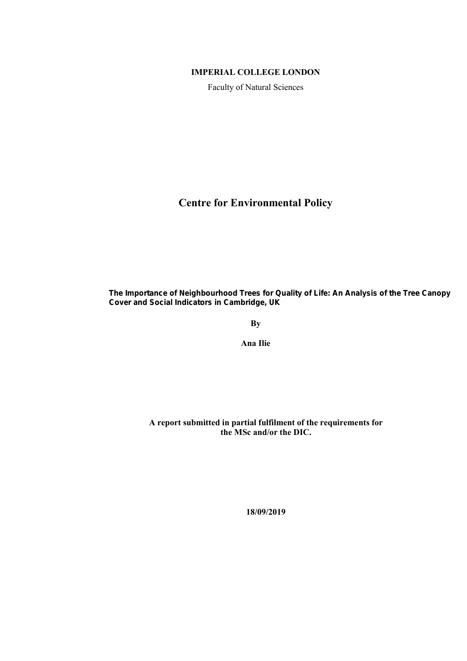#### **IMPERIAL COLLEGE LONDON**

Faculty of Natural Sciences

**Centre for Environmental Policy** 

The Importance of Neighbourhood Trees for Quality of Life: An Analysis of the Tree Canopy **Cover and Social Indicators in Cambridge, UK** 

**By**

**Ana Ilie** 

 **A report submitted in partial fulfilment of the requirements for the MSc and/or the DIC.** 

**18/09/2019**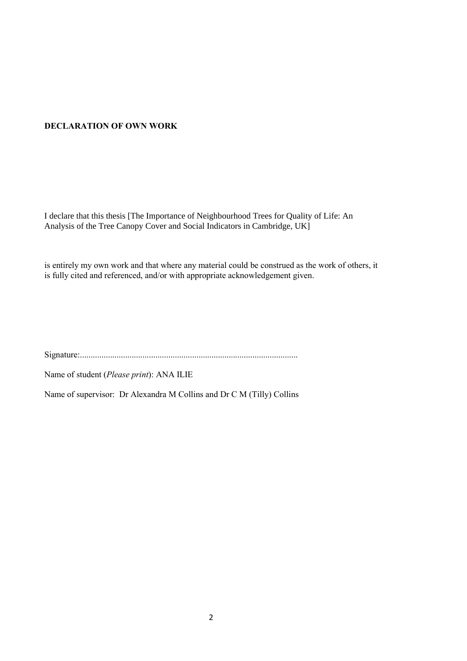#### **DECLARATION OF OWN WORK**

I declare that this thesis [The Importance of Neighbourhood Trees for Quality of Life: An Analysis of the Tree Canopy Cover and Social Indicators in Cambridge, UK]

is entirely my own work and that where any material could be construed as the work of others, it is fully cited and referenced, and/or with appropriate acknowledgement given.

Signature:.....................................................................................................

Name of student (*Please print*): ANA ILIE

Name of supervisor: Dr Alexandra M Collins and Dr C M (Tilly) Collins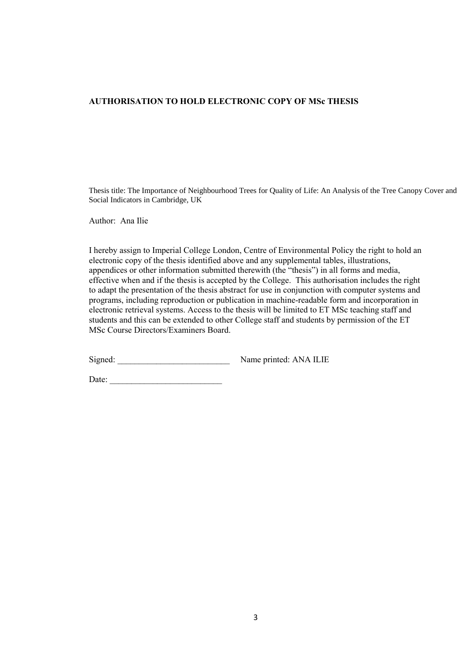#### **AUTHORISATION TO HOLD ELECTRONIC COPY OF MSc THESIS**

Thesis title: The Importance of Neighbourhood Trees for Quality of Life: An Analysis of the Tree Canopy Cover and Social Indicators in Cambridge, UK

Author: Ana Ilie

I hereby assign to Imperial College London, Centre of Environmental Policy the right to hold an electronic copy of the thesis identified above and any supplemental tables, illustrations, appendices or other information submitted therewith (the "thesis") in all forms and media, effective when and if the thesis is accepted by the College. This authorisation includes the right to adapt the presentation of the thesis abstract for use in conjunction with computer systems and programs, including reproduction or publication in machine-readable form and incorporation in electronic retrieval systems. Access to the thesis will be limited to ET MSc teaching staff and students and this can be extended to other College staff and students by permission of the ET MSc Course Directors/Examiners Board.

Signed: \_\_\_\_\_\_\_\_\_\_\_\_\_\_\_\_\_\_\_\_\_\_\_\_\_\_ Name printed: ANA ILIE

Date:  $\qquad \qquad$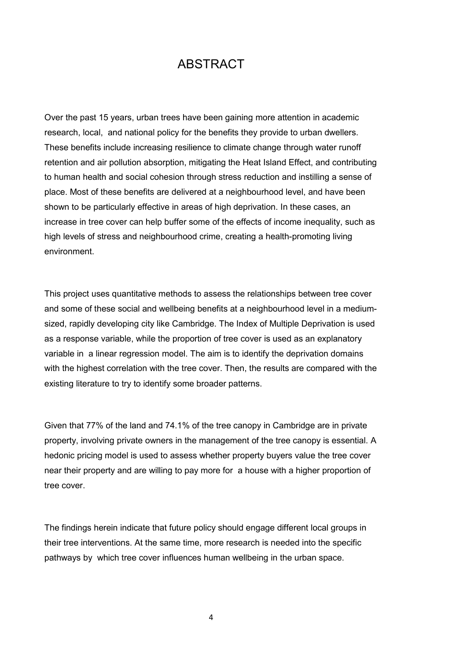## ABSTRACT

Over the past 15 years, urban trees have been gaining more attention in academic research, local, and national policy for the benefits they provide to urban dwellers. These benefits include increasing resilience to climate change through water runoff retention and air pollution absorption, mitigating the Heat Island Effect, and contributing to human health and social cohesion through stress reduction and instilling a sense of place. Most of these benefits are delivered at a neighbourhood level, and have been shown to be particularly effective in areas of high deprivation. In these cases, an increase in tree cover can help buffer some of the effects of income inequality, such as high levels of stress and neighbourhood crime, creating a health-promoting living environment.

This project uses quantitative methods to assess the relationships between tree cover and some of these social and wellbeing benefits at a neighbourhood level in a mediumsized, rapidly developing city like Cambridge. The Index of Multiple Deprivation is used as a response variable, while the proportion of tree cover is used as an explanatory variable in a linear regression model. The aim is to identify the deprivation domains with the highest correlation with the tree cover. Then, the results are compared with the existing literature to try to identify some broader patterns.

Given that 77% of the land and 74.1% of the tree canopy in Cambridge are in private property, involving private owners in the management of the tree canopy is essential. A hedonic pricing model is used to assess whether property buyers value the tree cover near their property and are willing to pay more for a house with a higher proportion of tree cover.

The findings herein indicate that future policy should engage different local groups in their tree interventions. At the same time, more research is needed into the specific pathways by which tree cover influences human wellbeing in the urban space.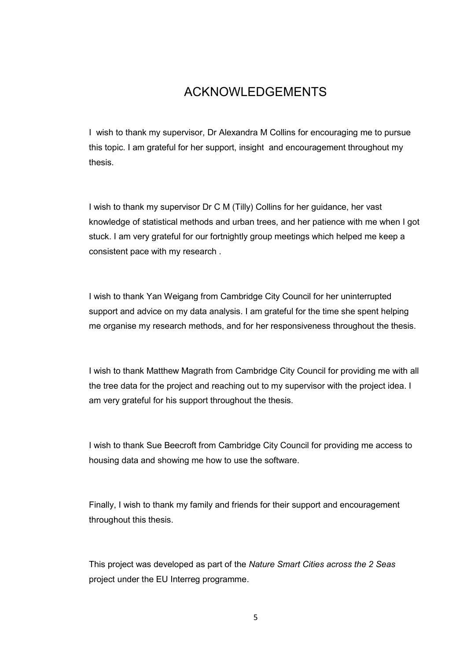## ACKNOWLEDGEMENTS

I wish to thank my supervisor, Dr Alexandra M Collins for encouraging me to pursue this topic. I am grateful for her support, insight and encouragement throughout my thesis.

I wish to thank my supervisor Dr C M (Tilly) Collins for her guidance, her vast knowledge of statistical methods and urban trees, and her patience with me when I got stuck. I am very grateful for our fortnightly group meetings which helped me keep a consistent pace with my research .

I wish to thank Yan Weigang from Cambridge City Council for her uninterrupted support and advice on my data analysis. I am grateful for the time she spent helping me organise my research methods, and for her responsiveness throughout the thesis.

I wish to thank Matthew Magrath from Cambridge City Council for providing me with all the tree data for the project and reaching out to my supervisor with the project idea. I am very grateful for his support throughout the thesis.

I wish to thank Sue Beecroft from Cambridge City Council for providing me access to housing data and showing me how to use the software.

Finally, I wish to thank my family and friends for their support and encouragement throughout this thesis.

This project was developed as part of the *Nature Smart Cities across the 2 Seas* project under the EU Interreg programme.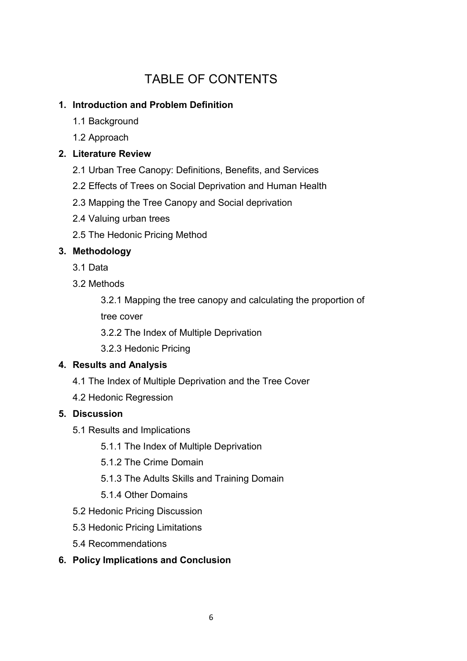## TABLE OF CONTENTS

## **1. Introduction and Problem Definition**

- 1.1 Background
- 1.2 Approach

## **2. Literature Review**

- 2.1 Urban Tree Canopy: Definitions, Benefits, and Services
- 2.2 Effects of Trees on Social Deprivation and Human Health
- 2.3 Mapping the Tree Canopy and Social deprivation
- 2.4 Valuing urban trees
- 2.5 The Hedonic Pricing Method

## **3. Methodology**

- 3.1 Data
- 3.2 Methods

3.2.1 Mapping the tree canopy and calculating the proportion of tree cover

3.2.2 The Index of Multiple Deprivation

3.2.3 Hedonic Pricing

### **4. Results and Analysis**

- 4.1 The Index of Multiple Deprivation and the Tree Cover
- 4.2 Hedonic Regression

### **5. Discussion**

- 5.1 Results and Implications
	- 5.1.1 The Index of Multiple Deprivation
	- 5.1.2 The Crime Domain
	- 5.1.3 The Adults Skills and Training Domain
	- 5.1.4 Other Domains
- 5.2 Hedonic Pricing Discussion
- 5.3 Hedonic Pricing Limitations
- 5.4 Recommendations
- **6. Policy Implications and Conclusion**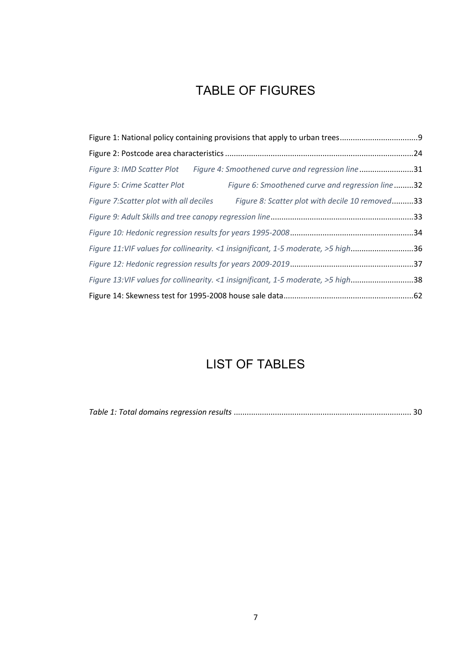## TABLE OF FIGURES

|                                        | Figure 3: IMD Scatter Plot Figure 4: Smoothened curve and regression line31      |  |
|----------------------------------------|----------------------------------------------------------------------------------|--|
| <b>Figure 5: Crime Scatter Plot</b>    | Figure 6: Smoothened curve and regression line32                                 |  |
| Figure 7:Scatter plot with all deciles | Figure 8: Scatter plot with decile 10 removed33                                  |  |
|                                        |                                                                                  |  |
|                                        |                                                                                  |  |
|                                        | Figure 11:VIF values for collinearity. <1 insignificant, 1-5 moderate, >5 high36 |  |
|                                        |                                                                                  |  |
|                                        | Figure 13:VIF values for collinearity. <1 insignificant, 1-5 moderate, >5 high38 |  |
|                                        |                                                                                  |  |

## LIST OF TABLES

|--|--|--|--|--|--|--|--|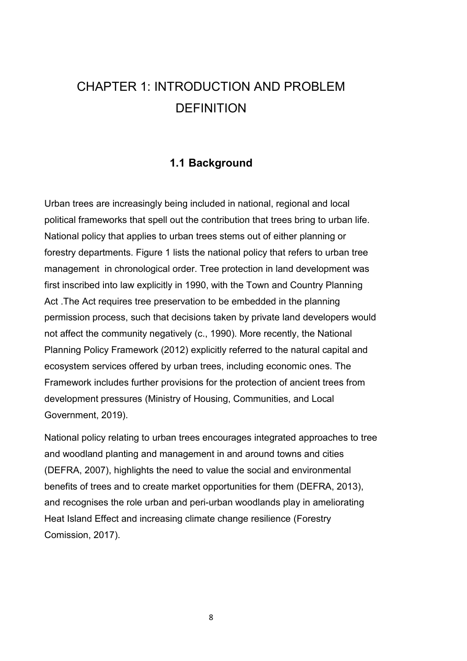# CHAPTER 1: INTRODUCTION AND PROBLEM **DEFINITION**

### **1.1 Background**

Urban trees are increasingly being included in national, regional and local political frameworks that spell out the contribution that trees bring to urban life. National policy that applies to urban trees stems out of either planning or forestry departments. Figure 1 lists the national policy that refers to urban tree management in chronological order. Tree protection in land development was first inscribed into law explicitly in 1990, with the Town and Country Planning Act .The Act requires tree preservation to be embedded in the planning permission process, such that decisions taken by private land developers would not affect the community negatively (c., 1990). More recently, the National Planning Policy Framework (2012) explicitly referred to the natural capital and ecosystem services offered by urban trees, including economic ones. The Framework includes further provisions for the protection of ancient trees from development pressures (Ministry of Housing, Communities, and Local Government, 2019).

National policy relating to urban trees encourages integrated approaches to tree and woodland planting and management in and around towns and cities (DEFRA, 2007), highlights the need to value the social and environmental benefits of trees and to create market opportunities for them (DEFRA, 2013), and recognises the role urban and peri-urban woodlands play in ameliorating Heat Island Effect and increasing climate change resilience (Forestry Comission, 2017).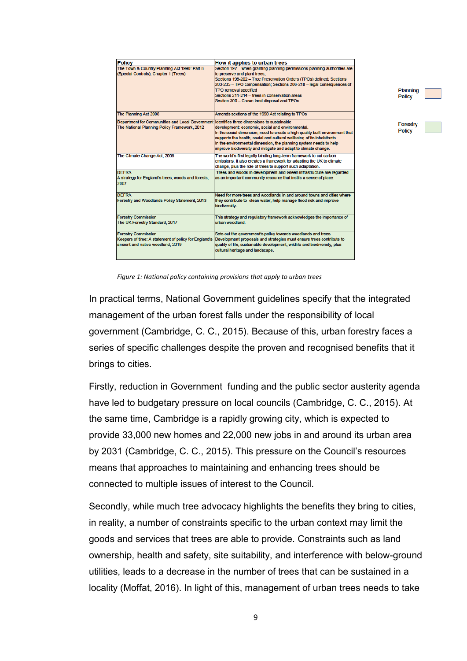| <b>Policy</b>                                                                                                           | How it applies to urban trees                                                                                                                                                                                                                                                                                                                                                                    |
|-------------------------------------------------------------------------------------------------------------------------|--------------------------------------------------------------------------------------------------------------------------------------------------------------------------------------------------------------------------------------------------------------------------------------------------------------------------------------------------------------------------------------------------|
| The Town & Country Planning Act 1990: Part 8<br>(Special Controls), Chapter 1 (Trees)                                   | Section 197 - when granting planning permissions planning authorities are<br>to preserve and plant trees;<br>Sections 198-202 - Tree Preservation Orders (TPOs) defined; Sections<br>203-205 - TPO compensation; Sections 206-210 - legal consequences of<br><b>TPO removal specified</b><br>Sections 211-214 - trees in conservation areas                                                      |
| The Planning Act 2008                                                                                                   | Section 300 - Crown land disposal and TPOs<br>Amends sections of the 1990 Act relating to TPOs                                                                                                                                                                                                                                                                                                   |
| <b>Department for Communities and Local Government</b><br>The National Planning Policy Framework, 2012                  | Identifies three dimensions to sustainable<br>development: economic, social and environmental.<br>In the social dimension, need to create a high quality built environment that<br>supports the health, social and cultural wellbeing of its inhabitants.<br>In the environmental dimension, the planning system needs to help<br>improve biodiversity and mitigate and adapt to climate change. |
| The Climate Change Act, 2008                                                                                            | The world's first legally binding long-term framework to cut carbon<br>emissions. It also creates a framework for adapting the UK to climate<br>change, plus the role of trees to support such adaptation.                                                                                                                                                                                       |
| <b>DEERA</b><br>A strategy for England's trees, woods and forests,<br>2007                                              | Trees and woods in development and Green infrastructure are regarded<br>as an important community resource that instils a sense of place.                                                                                                                                                                                                                                                        |
| DEERA<br>Forestry and Woodlands Policy Statement, 2013                                                                  | Need for more trees and woodlands in and around towns and cities where<br>they contribute to clean water, help manage flood risk and improve<br>biodiversity.                                                                                                                                                                                                                                    |
| <b>Forestry Commission</b><br>The UK Forestry Standard, 2017                                                            | This strategy and regulatory framework acknowledges the importance of<br>urban woodland                                                                                                                                                                                                                                                                                                          |
| <b>Forestry Commission</b><br>Keepers of time: A statement of policy for England's<br>ancient and native woodland, 2019 | Sets out the government's policy towards woodlands and trees.<br>Development proposals and strategies must ensure trees contribute to<br>quality of life, sustainable development, wildlife and biodiversity, plus<br>cultural heritage and landscape.                                                                                                                                           |

Planning **Policy** 

Forestry **Policy** 

*Figure 1: National policy containing provisions that apply to urban trees*

In practical terms, National Government guidelines specify that the integrated management of the urban forest falls under the responsibility of local government (Cambridge, C. C., 2015). Because of this, urban forestry faces a series of specific challenges despite the proven and recognised benefits that it brings to cities.

Firstly, reduction in Government funding and the public sector austerity agenda have led to budgetary pressure on local councils (Cambridge, C. C., 2015). At the same time, Cambridge is a rapidly growing city, which is expected to provide 33,000 new homes and 22,000 new jobs in and around its urban area by 2031 (Cambridge, C. C., 2015). This pressure on the Council's resources means that approaches to maintaining and enhancing trees should be connected to multiple issues of interest to the Council.

Secondly, while much tree advocacy highlights the benefits they bring to cities, in reality, a number of constraints specific to the urban context may limit the goods and services that trees are able to provide. Constraints such as land ownership, health and safety, site suitability, and interference with below-ground utilities, leads to a decrease in the number of trees that can be sustained in a locality (Moffat, 2016). In light of this, management of urban trees needs to take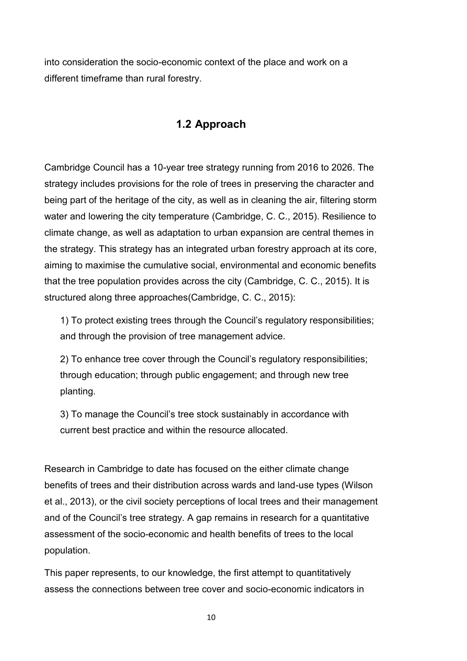into consideration the socio-economic context of the place and work on a different timeframe than rural forestry.

## **1.2 Approach**

Cambridge Council has a 10-year tree strategy running from 2016 to 2026. The strategy includes provisions for the role of trees in preserving the character and being part of the heritage of the city, as well as in cleaning the air, filtering storm water and lowering the city temperature (Cambridge, C. C., 2015). Resilience to climate change, as well as adaptation to urban expansion are central themes in the strategy. This strategy has an integrated urban forestry approach at its core, aiming to maximise the cumulative social, environmental and economic benefits that the tree population provides across the city (Cambridge, C. C., 2015). It is structured along three approaches(Cambridge, C. C., 2015):

1) To protect existing trees through the Council's regulatory responsibilities; and through the provision of tree management advice.

2) To enhance tree cover through the Council's regulatory responsibilities; through education; through public engagement; and through new tree planting.

3) To manage the Council's tree stock sustainably in accordance with current best practice and within the resource allocated.

Research in Cambridge to date has focused on the either climate change benefits of trees and their distribution across wards and land-use types (Wilson et al., 2013), or the civil society perceptions of local trees and their management and of the Council's tree strategy. A gap remains in research for a quantitative assessment of the socio-economic and health benefits of trees to the local population.

This paper represents, to our knowledge, the first attempt to quantitatively assess the connections between tree cover and socio-economic indicators in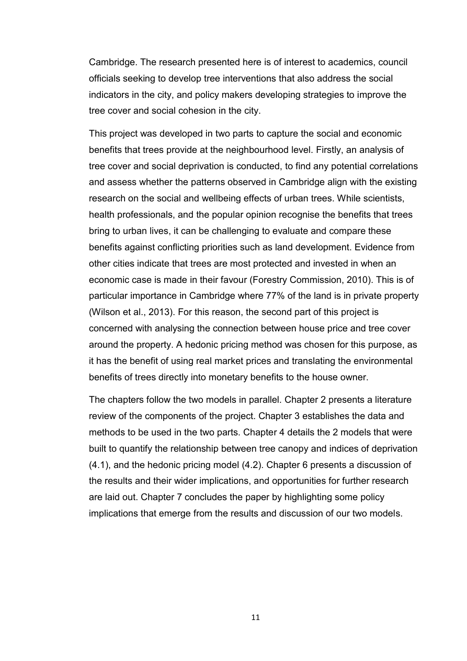Cambridge. The research presented here is of interest to academics, council officials seeking to develop tree interventions that also address the social indicators in the city, and policy makers developing strategies to improve the tree cover and social cohesion in the city.

This project was developed in two parts to capture the social and economic benefits that trees provide at the neighbourhood level. Firstly, an analysis of tree cover and social deprivation is conducted, to find any potential correlations and assess whether the patterns observed in Cambridge align with the existing research on the social and wellbeing effects of urban trees. While scientists, health professionals, and the popular opinion recognise the benefits that trees bring to urban lives, it can be challenging to evaluate and compare these benefits against conflicting priorities such as land development. Evidence from other cities indicate that trees are most protected and invested in when an economic case is made in their favour (Forestry Commission, 2010). This is of particular importance in Cambridge where 77% of the land is in private property (Wilson et al., 2013). For this reason, the second part of this project is concerned with analysing the connection between house price and tree cover around the property. A hedonic pricing method was chosen for this purpose, as it has the benefit of using real market prices and translating the environmental benefits of trees directly into monetary benefits to the house owner.

The chapters follow the two models in parallel. Chapter 2 presents a literature review of the components of the project. Chapter 3 establishes the data and methods to be used in the two parts. Chapter 4 details the 2 models that were built to quantify the relationship between tree canopy and indices of deprivation (4.1), and the hedonic pricing model (4.2). Chapter 6 presents a discussion of the results and their wider implications, and opportunities for further research are laid out. Chapter 7 concludes the paper by highlighting some policy implications that emerge from the results and discussion of our two models.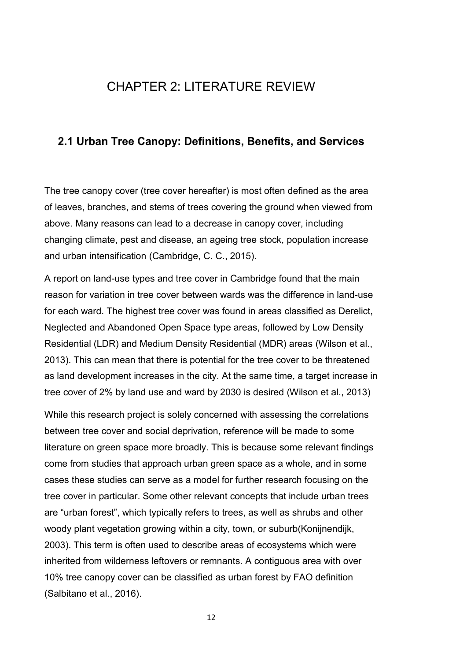## CHAPTER 2: LITERATURE REVIEW

### **2.1 Urban Tree Canopy: Definitions, Benefits, and Services**

The tree canopy cover (tree cover hereafter) is most often defined as the area of leaves, branches, and stems of trees covering the ground when viewed from above. Many reasons can lead to a decrease in canopy cover, including changing climate, pest and disease, an ageing tree stock, population increase and urban intensification (Cambridge, C. C., 2015).

A report on land-use types and tree cover in Cambridge found that the main reason for variation in tree cover between wards was the difference in land-use for each ward. The highest tree cover was found in areas classified as Derelict, Neglected and Abandoned Open Space type areas, followed by Low Density Residential (LDR) and Medium Density Residential (MDR) areas (Wilson et al., 2013). This can mean that there is potential for the tree cover to be threatened as land development increases in the city. At the same time, a target increase in tree cover of 2% by land use and ward by 2030 is desired (Wilson et al., 2013)

While this research project is solely concerned with assessing the correlations between tree cover and social deprivation, reference will be made to some literature on green space more broadly. This is because some relevant findings come from studies that approach urban green space as a whole, and in some cases these studies can serve as a model for further research focusing on the tree cover in particular. Some other relevant concepts that include urban trees are "urban forest", which typically refers to trees, as well as shrubs and other woody plant vegetation growing within a city, town, or suburb(Konijnendijk, 2003). This term is often used to describe areas of ecosystems which were inherited from wilderness leftovers or remnants. A contiguous area with over 10% tree canopy cover can be classified as urban forest by FAO definition (Salbitano et al., 2016).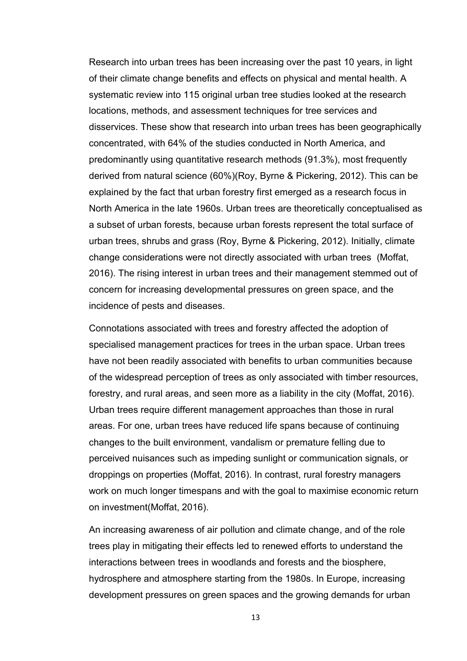Research into urban trees has been increasing over the past 10 years, in light of their climate change benefits and effects on physical and mental health. A systematic review into 115 original urban tree studies looked at the research locations, methods, and assessment techniques for tree services and disservices. These show that research into urban trees has been geographically concentrated, with 64% of the studies conducted in North America, and predominantly using quantitative research methods (91.3%), most frequently derived from natural science (60%)(Roy, Byrne & Pickering, 2012). This can be explained by the fact that urban forestry first emerged as a research focus in North America in the late 1960s. Urban trees are theoretically conceptualised as a subset of urban forests, because urban forests represent the total surface of urban trees, shrubs and grass (Roy, Byrne & Pickering, 2012). Initially, climate change considerations were not directly associated with urban trees (Moffat, 2016). The rising interest in urban trees and their management stemmed out of concern for increasing developmental pressures on green space, and the incidence of pests and diseases.

Connotations associated with trees and forestry affected the adoption of specialised management practices for trees in the urban space. Urban trees have not been readily associated with benefits to urban communities because of the widespread perception of trees as only associated with timber resources, forestry, and rural areas, and seen more as a liability in the city (Moffat, 2016). Urban trees require different management approaches than those in rural areas. For one, urban trees have reduced life spans because of continuing changes to the built environment, vandalism or premature felling due to perceived nuisances such as impeding sunlight or communication signals, or droppings on properties (Moffat, 2016). In contrast, rural forestry managers work on much longer timespans and with the goal to maximise economic return on investment(Moffat, 2016).

An increasing awareness of air pollution and climate change, and of the role trees play in mitigating their effects led to renewed efforts to understand the interactions between trees in woodlands and forests and the biosphere, hydrosphere and atmosphere starting from the 1980s. In Europe, increasing development pressures on green spaces and the growing demands for urban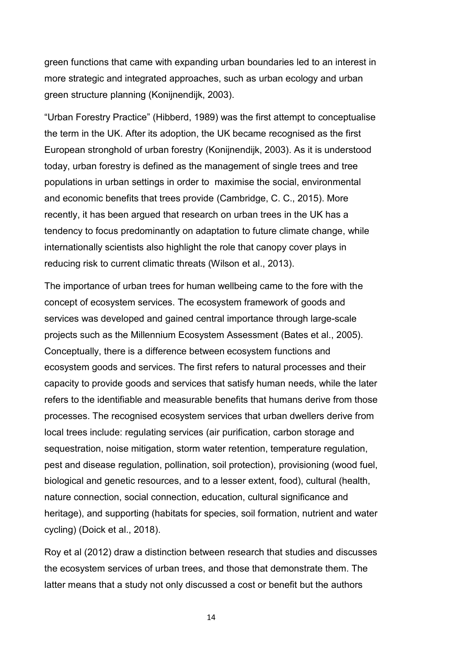green functions that came with expanding urban boundaries led to an interest in more strategic and integrated approaches, such as urban ecology and urban green structure planning (Konijnendijk, 2003).

"Urban Forestry Practice" (Hibberd, 1989) was the first attempt to conceptualise the term in the UK. After its adoption, the UK became recognised as the first European stronghold of urban forestry (Konijnendijk, 2003). As it is understood today, urban forestry is defined as the management of single trees and tree populations in urban settings in order to maximise the social, environmental and economic benefits that trees provide (Cambridge, C. C., 2015). More recently, it has been argued that research on urban trees in the UK has a tendency to focus predominantly on adaptation to future climate change, while internationally scientists also highlight the role that canopy cover plays in reducing risk to current climatic threats (Wilson et al., 2013).

The importance of urban trees for human wellbeing came to the fore with the concept of ecosystem services. The ecosystem framework of goods and services was developed and gained central importance through large-scale projects such as the Millennium Ecosystem Assessment (Bates et al., 2005). Conceptually, there is a difference between ecosystem functions and ecosystem goods and services. The first refers to natural processes and their capacity to provide goods and services that satisfy human needs, while the later refers to the identifiable and measurable benefits that humans derive from those processes. The recognised ecosystem services that urban dwellers derive from local trees include: regulating services (air purification, carbon storage and sequestration, noise mitigation, storm water retention, temperature regulation, pest and disease regulation, pollination, soil protection), provisioning (wood fuel, biological and genetic resources, and to a lesser extent, food), cultural (health, nature connection, social connection, education, cultural significance and heritage), and supporting (habitats for species, soil formation, nutrient and water cycling) (Doick et al., 2018).

Roy et al (2012) draw a distinction between research that studies and discusses the ecosystem services of urban trees, and those that demonstrate them. The latter means that a study not only discussed a cost or benefit but the authors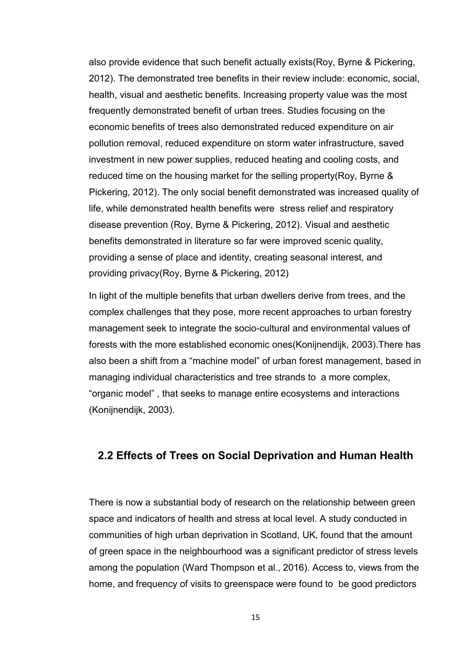also provide evidence that such benefit actually exists(Roy, Byrne & Pickering, 2012). The demonstrated tree benefits in their review include: economic, social, health, visual and aesthetic benefits. Increasing property value was the most frequently demonstrated benefit of urban trees. Studies focusing on the economic benefits of trees also demonstrated reduced expenditure on air pollution removal, reduced expenditure on storm water infrastructure, saved investment in new power supplies, reduced heating and cooling costs, and reduced time on the housing market for the selling property(Roy, Byrne & Pickering, 2012). The only social benefit demonstrated was increased quality of life, while demonstrated health benefits were stress relief and respiratory disease prevention (Roy, Byrne & Pickering, 2012). Visual and aesthetic benefits demonstrated in literature so far were improved scenic quality, providing a sense of place and identity, creating seasonal interest, and providing privacy(Roy, Byrne & Pickering, 2012)

In light of the multiple benefits that urban dwellers derive from trees, and the complex challenges that they pose, more recent approaches to urban forestry management seek to integrate the socio-cultural and environmental values of forests with the more established economic ones(Konijnendijk, 2003).There has also been a shift from a "machine model" of urban forest management, based in managing individual characteristics and tree strands to a more complex, "organic model" , that seeks to manage entire ecosystems and interactions (Konijnendijk, 2003).

#### **2.2 Effects of Trees on Social Deprivation and Human Health**

There is now a substantial body of research on the relationship between green space and indicators of health and stress at local level. A study conducted in communities of high urban deprivation in Scotland, UK, found that the amount of green space in the neighbourhood was a significant predictor of stress levels among the population (Ward Thompson et al., 2016). Access to, views from the home, and frequency of visits to greenspace were found to be good predictors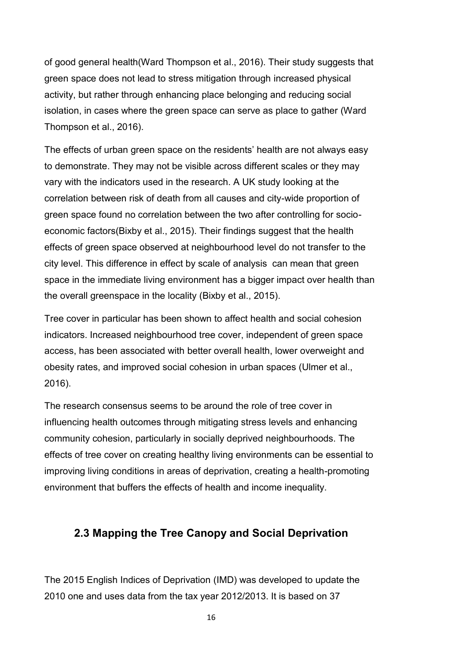of good general health(Ward Thompson et al., 2016). Their study suggests that green space does not lead to stress mitigation through increased physical activity, but rather through enhancing place belonging and reducing social isolation, in cases where the green space can serve as place to gather (Ward Thompson et al., 2016).

The effects of urban green space on the residents' health are not always easy to demonstrate. They may not be visible across different scales or they may vary with the indicators used in the research. A UK study looking at the correlation between risk of death from all causes and city-wide proportion of green space found no correlation between the two after controlling for socioeconomic factors(Bixby et al., 2015). Their findings suggest that the health effects of green space observed at neighbourhood level do not transfer to the city level. This difference in effect by scale of analysis can mean that green space in the immediate living environment has a bigger impact over health than the overall greenspace in the locality (Bixby et al., 2015).

Tree cover in particular has been shown to affect health and social cohesion indicators. Increased neighbourhood tree cover, independent of green space access, has been associated with better overall health, lower overweight and obesity rates, and improved social cohesion in urban spaces (Ulmer et al., 2016).

The research consensus seems to be around the role of tree cover in influencing health outcomes through mitigating stress levels and enhancing community cohesion, particularly in socially deprived neighbourhoods. The effects of tree cover on creating healthy living environments can be essential to improving living conditions in areas of deprivation, creating a health-promoting environment that buffers the effects of health and income inequality.

## **2.3 Mapping the Tree Canopy and Social Deprivation**

The 2015 English Indices of Deprivation (IMD) was developed to update the 2010 one and uses data from the tax year 2012/2013. It is based on 37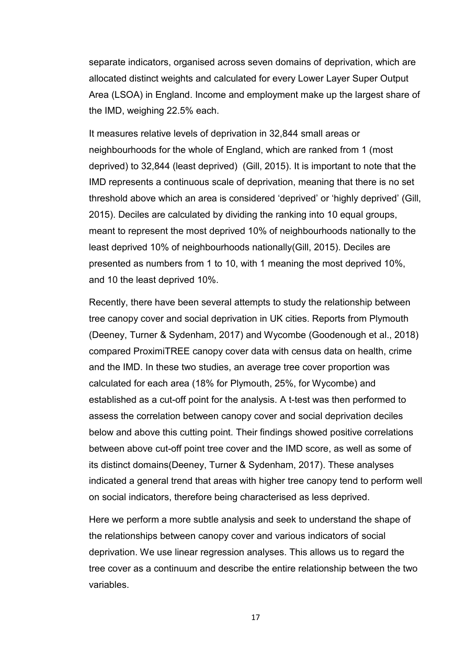separate indicators, organised across seven domains of deprivation, which are allocated distinct weights and calculated for every Lower Layer Super Output Area (LSOA) in England. Income and employment make up the largest share of the IMD, weighing 22.5% each.

It measures relative levels of deprivation in 32,844 small areas or neighbourhoods for the whole of England, which are ranked from 1 (most deprived) to 32,844 (least deprived) (Gill, 2015). It is important to note that the IMD represents a continuous scale of deprivation, meaning that there is no set threshold above which an area is considered 'deprived' or 'highly deprived' (Gill, 2015). Deciles are calculated by dividing the ranking into 10 equal groups, meant to represent the most deprived 10% of neighbourhoods nationally to the least deprived 10% of neighbourhoods nationally(Gill, 2015). Deciles are presented as numbers from 1 to 10, with 1 meaning the most deprived 10%, and 10 the least deprived 10%.

Recently, there have been several attempts to study the relationship between tree canopy cover and social deprivation in UK cities. Reports from Plymouth (Deeney, Turner & Sydenham, 2017) and Wycombe (Goodenough et al., 2018) compared ProximiTREE canopy cover data with census data on health, crime and the IMD. In these two studies, an average tree cover proportion was calculated for each area (18% for Plymouth, 25%, for Wycombe) and established as a cut-off point for the analysis. A t-test was then performed to assess the correlation between canopy cover and social deprivation deciles below and above this cutting point. Their findings showed positive correlations between above cut-off point tree cover and the IMD score, as well as some of its distinct domains(Deeney, Turner & Sydenham, 2017). These analyses indicated a general trend that areas with higher tree canopy tend to perform well on social indicators, therefore being characterised as less deprived.

Here we perform a more subtle analysis and seek to understand the shape of the relationships between canopy cover and various indicators of social deprivation. We use linear regression analyses. This allows us to regard the tree cover as a continuum and describe the entire relationship between the two variables.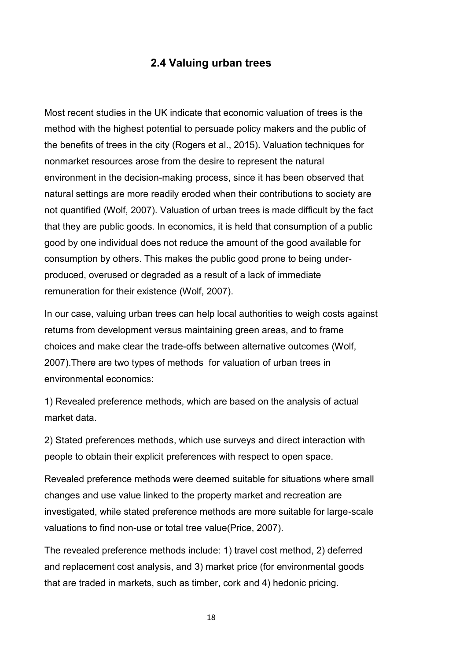## **2.4 Valuing urban trees**

Most recent studies in the UK indicate that economic valuation of trees is the method with the highest potential to persuade policy makers and the public of the benefits of trees in the city (Rogers et al., 2015). Valuation techniques for nonmarket resources arose from the desire to represent the natural environment in the decision-making process, since it has been observed that natural settings are more readily eroded when their contributions to society are not quantified (Wolf, 2007). Valuation of urban trees is made difficult by the fact that they are public goods. In economics, it is held that consumption of a public good by one individual does not reduce the amount of the good available for consumption by others. This makes the public good prone to being underproduced, overused or degraded as a result of a lack of immediate remuneration for their existence (Wolf, 2007).

In our case, valuing urban trees can help local authorities to weigh costs against returns from development versus maintaining green areas, and to frame choices and make clear the trade-offs between alternative outcomes (Wolf, 2007).There are two types of methods for valuation of urban trees in environmental economics:

1) Revealed preference methods, which are based on the analysis of actual market data.

2) Stated preferences methods, which use surveys and direct interaction with people to obtain their explicit preferences with respect to open space.

Revealed preference methods were deemed suitable for situations where small changes and use value linked to the property market and recreation are investigated, while stated preference methods are more suitable for large-scale valuations to find non-use or total tree value(Price, 2007).

The revealed preference methods include: 1) travel cost method, 2) deferred and replacement cost analysis, and 3) market price (for environmental goods that are traded in markets, such as timber, cork and 4) hedonic pricing.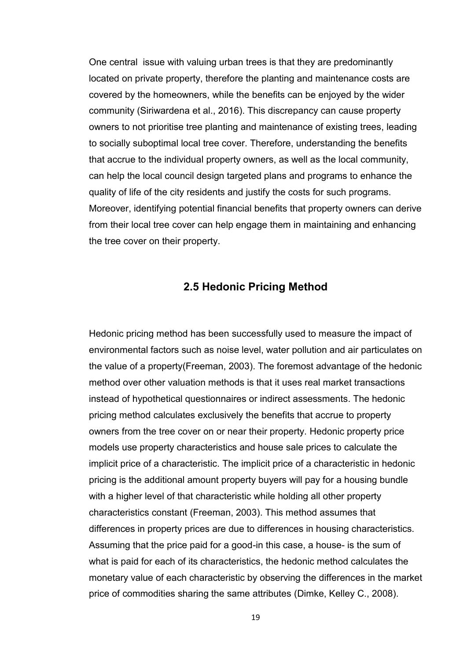One central issue with valuing urban trees is that they are predominantly located on private property, therefore the planting and maintenance costs are covered by the homeowners, while the benefits can be enjoyed by the wider community (Siriwardena et al., 2016). This discrepancy can cause property owners to not prioritise tree planting and maintenance of existing trees, leading to socially suboptimal local tree cover. Therefore, understanding the benefits that accrue to the individual property owners, as well as the local community, can help the local council design targeted plans and programs to enhance the quality of life of the city residents and justify the costs for such programs. Moreover, identifying potential financial benefits that property owners can derive from their local tree cover can help engage them in maintaining and enhancing the tree cover on their property.

#### **2.5 Hedonic Pricing Method**

Hedonic pricing method has been successfully used to measure the impact of environmental factors such as noise level, water pollution and air particulates on the value of a property(Freeman, 2003). The foremost advantage of the hedonic method over other valuation methods is that it uses real market transactions instead of hypothetical questionnaires or indirect assessments. The hedonic pricing method calculates exclusively the benefits that accrue to property owners from the tree cover on or near their property. Hedonic property price models use property characteristics and house sale prices to calculate the implicit price of a characteristic. The implicit price of a characteristic in hedonic pricing is the additional amount property buyers will pay for a housing bundle with a higher level of that characteristic while holding all other property characteristics constant (Freeman, 2003). This method assumes that differences in property prices are due to differences in housing characteristics. Assuming that the price paid for a good-in this case, a house- is the sum of what is paid for each of its characteristics, the hedonic method calculates the monetary value of each characteristic by observing the differences in the market price of commodities sharing the same attributes (Dimke, Kelley C., 2008).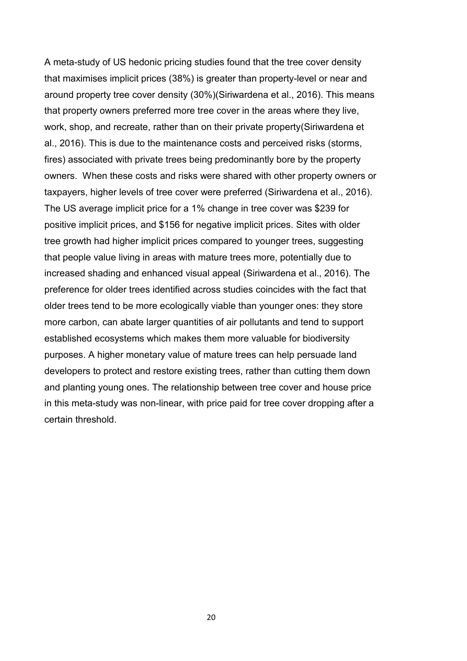A meta-study of US hedonic pricing studies found that the tree cover density that maximises implicit prices (38%) is greater than property-level or near and around property tree cover density (30%)(Siriwardena et al., 2016). This means that property owners preferred more tree cover in the areas where they live, work, shop, and recreate, rather than on their private property(Siriwardena et al., 2016). This is due to the maintenance costs and perceived risks (storms, fires) associated with private trees being predominantly bore by the property owners. When these costs and risks were shared with other property owners or taxpayers, higher levels of tree cover were preferred (Siriwardena et al., 2016). The US average implicit price for a 1% change in tree cover was \$239 for positive implicit prices, and \$156 for negative implicit prices. Sites with older tree growth had higher implicit prices compared to younger trees, suggesting that people value living in areas with mature trees more, potentially due to increased shading and enhanced visual appeal (Siriwardena et al., 2016). The preference for older trees identified across studies coincides with the fact that older trees tend to be more ecologically viable than younger ones: they store more carbon, can abate larger quantities of air pollutants and tend to support established ecosystems which makes them more valuable for biodiversity purposes. A higher monetary value of mature trees can help persuade land developers to protect and restore existing trees, rather than cutting them down and planting young ones. The relationship between tree cover and house price in this meta-study was non-linear, with price paid for tree cover dropping after a certain threshold.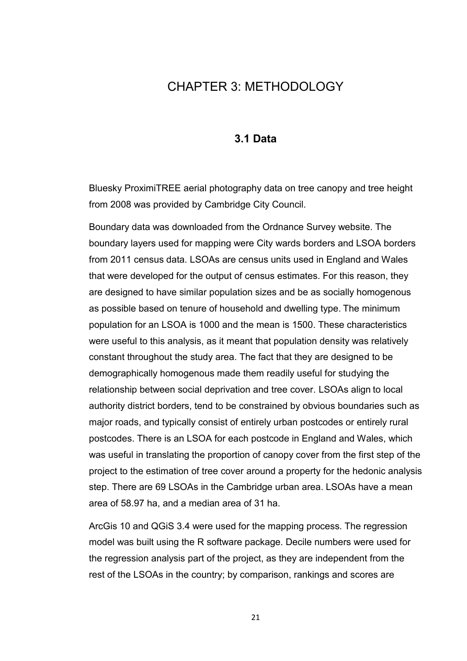## CHAPTER 3: METHODOLOGY

### **3.1 Data**

Bluesky ProximiTREE aerial photography data on tree canopy and tree height from 2008 was provided by Cambridge City Council.

Boundary data was downloaded from the Ordnance Survey website. The boundary layers used for mapping were City wards borders and LSOA borders from 2011 census data. LSOAs are census units used in England and Wales that were developed for the output of census estimates. For this reason, they are designed to have similar population sizes and be as socially homogenous as possible based on tenure of household and dwelling type. The minimum population for an LSOA is 1000 and the mean is 1500. These characteristics were useful to this analysis, as it meant that population density was relatively constant throughout the study area. The fact that they are designed to be demographically homogenous made them readily useful for studying the relationship between social deprivation and tree cover. LSOAs align to local authority district borders, tend to be constrained by obvious boundaries such as major roads, and typically consist of entirely urban postcodes or entirely rural postcodes. There is an LSOA for each postcode in England and Wales, which was useful in translating the proportion of canopy cover from the first step of the project to the estimation of tree cover around a property for the hedonic analysis step. There are 69 LSOAs in the Cambridge urban area. LSOAs have a mean area of 58.97 ha, and a median area of 31 ha.

ArcGis 10 and QGiS 3.4 were used for the mapping process. The regression model was built using the R software package. Decile numbers were used for the regression analysis part of the project, as they are independent from the rest of the LSOAs in the country; by comparison, rankings and scores are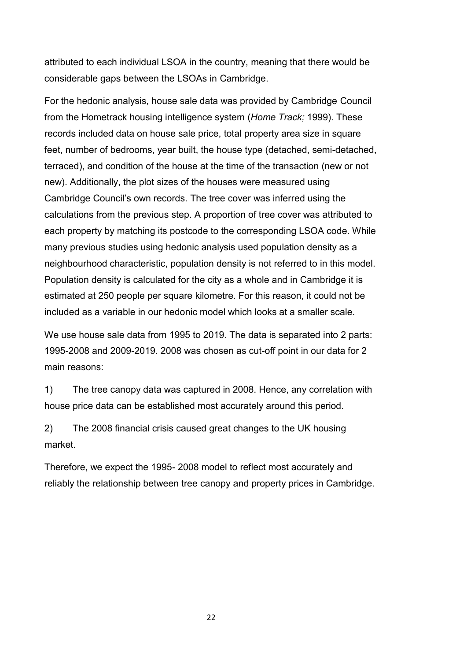attributed to each individual LSOA in the country, meaning that there would be considerable gaps between the LSOAs in Cambridge.

For the hedonic analysis, house sale data was provided by Cambridge Council from the Hometrack housing intelligence system (*Home Track;* 1999). These records included data on house sale price, total property area size in square feet, number of bedrooms, year built, the house type (detached, semi-detached, terraced), and condition of the house at the time of the transaction (new or not new). Additionally, the plot sizes of the houses were measured using Cambridge Council's own records. The tree cover was inferred using the calculations from the previous step. A proportion of tree cover was attributed to each property by matching its postcode to the corresponding LSOA code. While many previous studies using hedonic analysis used population density as a neighbourhood characteristic, population density is not referred to in this model. Population density is calculated for the city as a whole and in Cambridge it is estimated at 250 people per square kilometre. For this reason, it could not be included as a variable in our hedonic model which looks at a smaller scale.

We use house sale data from 1995 to 2019. The data is separated into 2 parts: 1995-2008 and 2009-2019. 2008 was chosen as cut-off point in our data for 2 main reasons:

1) The tree canopy data was captured in 2008. Hence, any correlation with house price data can be established most accurately around this period.

2) The 2008 financial crisis caused great changes to the UK housing market.

Therefore, we expect the 1995- 2008 model to reflect most accurately and reliably the relationship between tree canopy and property prices in Cambridge.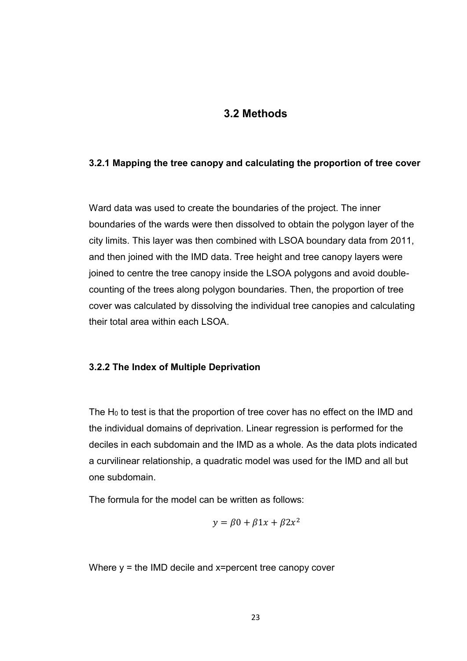### **3.2 Methods**

#### **3.2.1 Mapping the tree canopy and calculating the proportion of tree cover**

Ward data was used to create the boundaries of the project. The inner boundaries of the wards were then dissolved to obtain the polygon layer of the city limits. This layer was then combined with LSOA boundary data from 2011, and then joined with the IMD data. Tree height and tree canopy layers were joined to centre the tree canopy inside the LSOA polygons and avoid doublecounting of the trees along polygon boundaries. Then, the proportion of tree cover was calculated by dissolving the individual tree canopies and calculating their total area within each LSOA.

#### **3.2.2 The Index of Multiple Deprivation**

The  $H_0$  to test is that the proportion of tree cover has no effect on the IMD and the individual domains of deprivation. Linear regression is performed for the deciles in each subdomain and the IMD as a whole. As the data plots indicated a curvilinear relationship, a quadratic model was used for the IMD and all but one subdomain.

The formula for the model can be written as follows:

$$
y = \beta 0 + \beta 1 x + \beta 2 x^2
$$

Where  $y =$  the IMD decile and  $x =$  percent tree canopy cover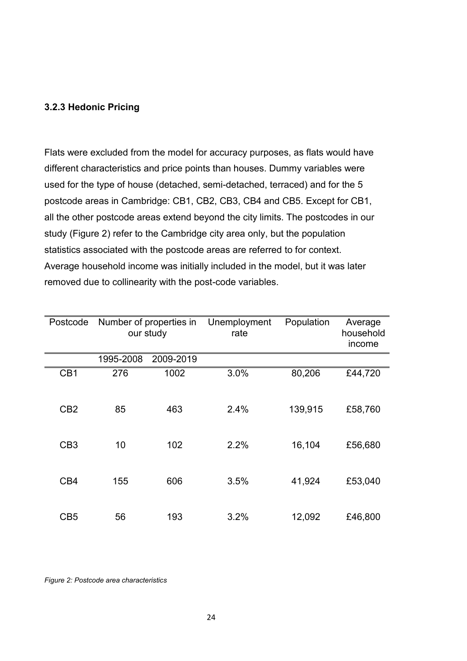#### **3.2.3 Hedonic Pricing**

Flats were excluded from the model for accuracy purposes, as flats would have different characteristics and price points than houses. Dummy variables were used for the type of house (detached, semi-detached, terraced) and for the 5 postcode areas in Cambridge: CB1, CB2, CB3, CB4 and CB5. Except for CB1, all the other postcode areas extend beyond the city limits. The postcodes in our study (Figure 2) refer to the Cambridge city area only, but the population statistics associated with the postcode areas are referred to for context. Average household income was initially included in the model, but it was later removed due to collinearity with the post-code variables.

| Postcode        |           | Number of properties in<br>our study | Unemployment<br>rate | Population | Average<br>household<br>income |
|-----------------|-----------|--------------------------------------|----------------------|------------|--------------------------------|
|                 | 1995-2008 | 2009-2019                            |                      |            |                                |
| CB <sub>1</sub> | 276       | 1002                                 | 3.0%                 | 80,206     | £44,720                        |
| C <sub>B2</sub> | 85        | 463                                  | 2.4%                 | 139,915    | £58,760                        |
| CB <sub>3</sub> | 10        | 102                                  | 2.2%                 | 16,104     | £56,680                        |
| CB4             | 155       | 606                                  | 3.5%                 | 41,924     | £53,040                        |
| CB <sub>5</sub> | 56        | 193                                  | 3.2%                 | 12,092     | £46,800                        |

*Figure 2: Postcode area characteristics*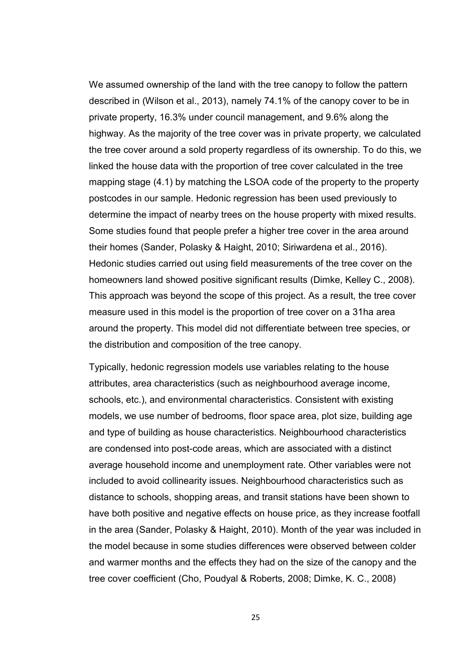We assumed ownership of the land with the tree canopy to follow the pattern described in (Wilson et al., 2013), namely 74.1% of the canopy cover to be in private property, 16.3% under council management, and 9.6% along the highway. As the majority of the tree cover was in private property, we calculated the tree cover around a sold property regardless of its ownership. To do this, we linked the house data with the proportion of tree cover calculated in the tree mapping stage (4.1) by matching the LSOA code of the property to the property postcodes in our sample. Hedonic regression has been used previously to determine the impact of nearby trees on the house property with mixed results. Some studies found that people prefer a higher tree cover in the area around their homes (Sander, Polasky & Haight, 2010; Siriwardena et al., 2016). Hedonic studies carried out using field measurements of the tree cover on the homeowners land showed positive significant results (Dimke, Kelley C., 2008). This approach was beyond the scope of this project. As a result, the tree cover measure used in this model is the proportion of tree cover on a 31ha area around the property. This model did not differentiate between tree species, or the distribution and composition of the tree canopy.

Typically, hedonic regression models use variables relating to the house attributes, area characteristics (such as neighbourhood average income, schools, etc.), and environmental characteristics. Consistent with existing models, we use number of bedrooms, floor space area, plot size, building age and type of building as house characteristics. Neighbourhood characteristics are condensed into post-code areas, which are associated with a distinct average household income and unemployment rate. Other variables were not included to avoid collinearity issues. Neighbourhood characteristics such as distance to schools, shopping areas, and transit stations have been shown to have both positive and negative effects on house price, as they increase footfall in the area (Sander, Polasky & Haight, 2010). Month of the year was included in the model because in some studies differences were observed between colder and warmer months and the effects they had on the size of the canopy and the tree cover coefficient (Cho, Poudyal & Roberts, 2008; Dimke, K. C., 2008)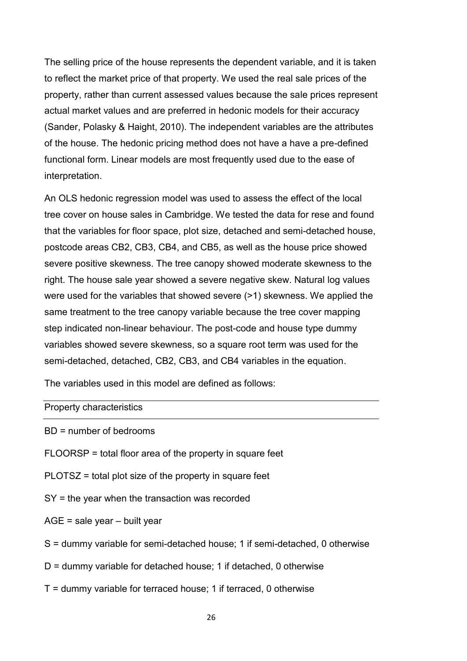The selling price of the house represents the dependent variable, and it is taken to reflect the market price of that property. We used the real sale prices of the property, rather than current assessed values because the sale prices represent actual market values and are preferred in hedonic models for their accuracy (Sander, Polasky & Haight, 2010). The independent variables are the attributes of the house. The hedonic pricing method does not have a have a pre-defined functional form. Linear models are most frequently used due to the ease of interpretation.

An OLS hedonic regression model was used to assess the effect of the local tree cover on house sales in Cambridge. We tested the data for rese and found that the variables for floor space, plot size, detached and semi-detached house, postcode areas CB2, CB3, CB4, and CB5, as well as the house price showed severe positive skewness. The tree canopy showed moderate skewness to the right. The house sale year showed a severe negative skew. Natural log values were used for the variables that showed severe (>1) skewness. We applied the same treatment to the tree canopy variable because the tree cover mapping step indicated non-linear behaviour. The post-code and house type dummy variables showed severe skewness, so a square root term was used for the semi-detached, detached, CB2, CB3, and CB4 variables in the equation.

The variables used in this model are defined as follows:

#### Property characteristics

BD = number of bedrooms

- FLOORSP = total floor area of the property in square feet
- PLOTSZ = total plot size of the property in square feet
- SY = the year when the transaction was recorded
- AGE = sale year built year
- S = dummy variable for semi-detached house; 1 if semi-detached, 0 otherwise
- D = dummy variable for detached house; 1 if detached, 0 otherwise
- $T =$  dummy variable for terraced house; 1 if terraced, 0 otherwise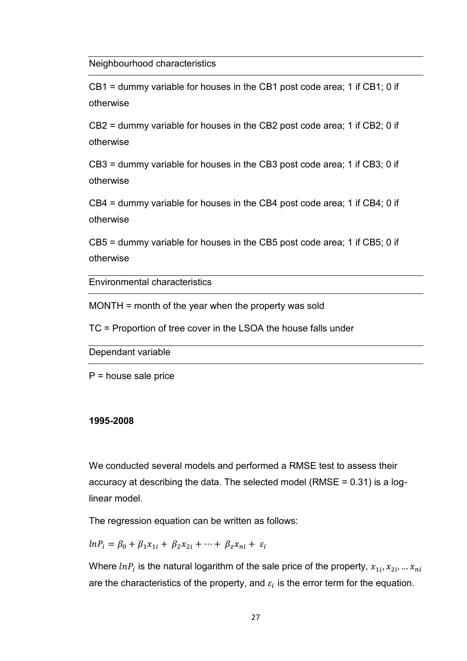Neighbourhood characteristics

CB1 = dummy variable for houses in the CB1 post code area; 1 if CB1; 0 if otherwise

CB2 = dummy variable for houses in the CB2 post code area; 1 if CB2; 0 if otherwise

CB3 = dummy variable for houses in the CB3 post code area; 1 if CB3; 0 if otherwise

CB4 = dummy variable for houses in the CB4 post code area; 1 if CB4; 0 if otherwise

CB5 = dummy variable for houses in the CB5 post code area; 1 if CB5; 0 if otherwise

Environmental characteristics

MONTH = month of the year when the property was sold

TC = Proportion of tree cover in the LSOA the house falls under

Dependant variable

 $P =$  house sale price

#### **1995-2008**

We conducted several models and performed a RMSE test to assess their accuracy at describing the data. The selected model (RMSE = 0.31) is a loglinear model.

The regression equation can be written as follows:

 $ln P_i = \beta_0 + \beta_1 x_{1i} + \beta_2 x_{2i} + \cdots + \beta_z x_{ni} + \varepsilon_i$ 

Where  $ln P_i$  is the natural logarithm of the sale price of the property,  $x_{1i}, x_{2i}, ... x_{ni}$ are the characteristics of the property, and  $\varepsilon_i$  is the error term for the equation.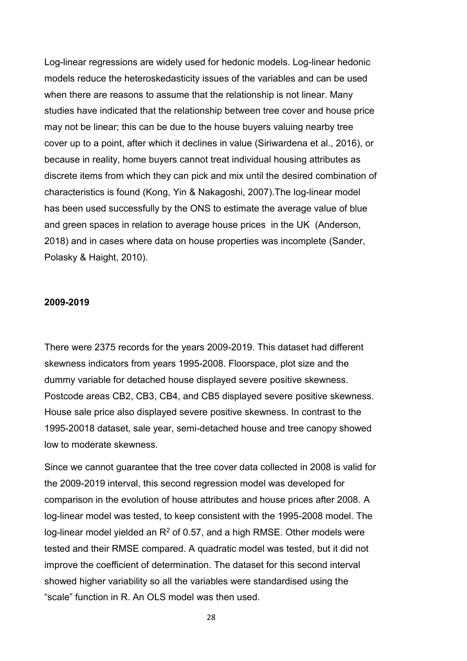Log-linear regressions are widely used for hedonic models. Log-linear hedonic models reduce the heteroskedasticity issues of the variables and can be used when there are reasons to assume that the relationship is not linear. Many studies have indicated that the relationship between tree cover and house price may not be linear; this can be due to the house buyers valuing nearby tree cover up to a point, after which it declines in value (Siriwardena et al., 2016), or because in reality, home buyers cannot treat individual housing attributes as discrete items from which they can pick and mix until the desired combination of characteristics is found (Kong, Yin & Nakagoshi, 2007).The log-linear model has been used successfully by the ONS to estimate the average value of blue and green spaces in relation to average house prices in the UK (Anderson, 2018) and in cases where data on house properties was incomplete (Sander, Polasky & Haight, 2010).

#### **2009-2019**

There were 2375 records for the years 2009-2019. This dataset had different skewness indicators from years 1995-2008. Floorspace, plot size and the dummy variable for detached house displayed severe positive skewness. Postcode areas CB2, CB3, CB4, and CB5 displayed severe positive skewness. House sale price also displayed severe positive skewness. In contrast to the 1995-20018 dataset, sale year, semi-detached house and tree canopy showed low to moderate skewness.

Since we cannot guarantee that the tree cover data collected in 2008 is valid for the 2009-2019 interval, this second regression model was developed for comparison in the evolution of house attributes and house prices after 2008. A log-linear model was tested, to keep consistent with the 1995-2008 model. The log-linear model yielded an  $R^2$  of 0.57, and a high RMSE. Other models were tested and their RMSE compared. A quadratic model was tested, but it did not improve the coefficient of determination. The dataset for this second interval showed higher variability so all the variables were standardised using the "scale" function in R. An OLS model was then used.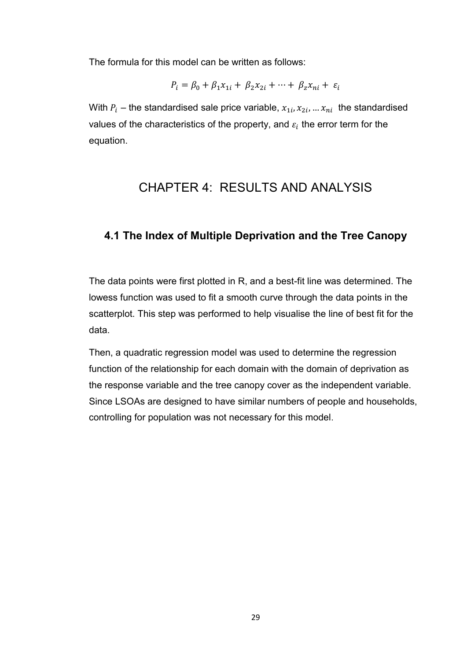The formula for this model can be written as follows:

$$
P_i = \beta_0 + \beta_1 x_{1i} + \beta_2 x_{2i} + \dots + \beta_z x_{ni} + \varepsilon_i
$$

With  $P_i$  – the standardised sale price variable,  $x_{1i}$ ,  $x_{2i}$ , ...  $x_{ni}$  the standardised values of the characteristics of the property, and  $\varepsilon_i$  the error term for the equation.

## CHAPTER 4: RESULTS AND ANALYSIS

### **4.1 The Index of Multiple Deprivation and the Tree Canopy**

The data points were first plotted in R, and a best-fit line was determined. The lowess function was used to fit a smooth curve through the data points in the scatterplot. This step was performed to help visualise the line of best fit for the data.

Then, a quadratic regression model was used to determine the regression function of the relationship for each domain with the domain of deprivation as the response variable and the tree canopy cover as the independent variable. Since LSOAs are designed to have similar numbers of people and households, controlling for population was not necessary for this model.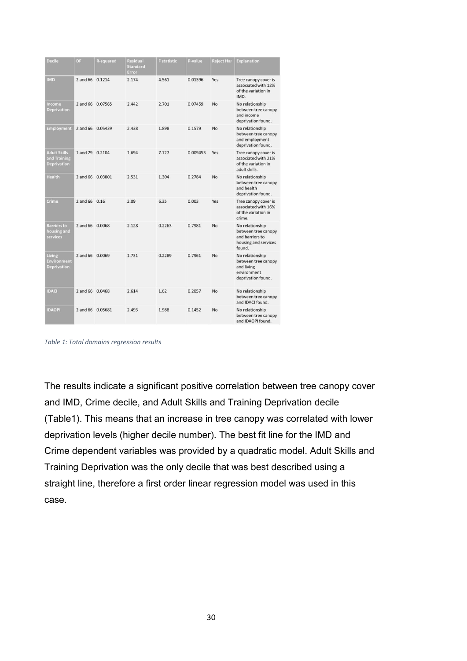| <b>Decile</b>                                             | DF               | <b>R-squared</b> | Residual<br><b>Standard</b><br>Error | <b>F</b> statistic | P-value  | <b>Reject Ho?</b> | <b>Explanation</b>                                                                          |
|-----------------------------------------------------------|------------------|------------------|--------------------------------------|--------------------|----------|-------------------|---------------------------------------------------------------------------------------------|
| <b>IMD</b>                                                | 2 and 66 0.1214  |                  | 2.174                                | 4.561              | 0.01396  | Yes               | Tree canopy cover is<br>associated with 12%<br>of the variation in<br>IMD.                  |
| Income<br><b>Deprivation</b>                              | 2 and 66 0.07565 |                  | 2.442                                | 2.701              | 0.07459  | No                | No relationship<br>between tree canopy<br>and income<br>deprivation found.                  |
| <b>Employment</b>                                         | 2 and 66 0.05439 |                  | 2.438                                | 1.898              | 0.1579   | No                | No relationship<br>between tree canopy<br>and employment<br>deprivation found.              |
| <b>Adult Skills</b><br>and Training<br><b>Deprivation</b> | 1 and 29 0.2104  |                  | 1.694                                | 7.727              | 0.009453 | Yes               | Tree canopy cover is<br>associated with 21%<br>of the variation in<br>adult skills.         |
| <b>Health</b>                                             | 2 and 66 0.03801 |                  | 2.531                                | 1.304              | 0.2784   | No                | No relationship<br>between tree canopy<br>and health<br>deprivation found.                  |
| Crime                                                     | 2 and 66 0.16    |                  | 2.09                                 | 6.35               | 0.003    | Yes               | Tree canopy cover is<br>associated with 16%<br>of the variation in<br>crime.                |
| <b>Barriers to</b><br>housing and<br>services             | 2 and 66 0.0068  |                  | 2.128                                | 0.2263             | 0.7981   | No                | No relationship<br>between tree canopy<br>and barriers to<br>housing and services<br>found. |
| Living<br><b>Environment</b><br><b>Deprivation</b>        | 2 and 66 0.0069  |                  | 1.731                                | 0.2289             | 0.7961   | No                | No relationship<br>between tree canopy<br>and living<br>environment<br>deprivation found.   |
| <b>IDACI</b>                                              | 2 and 66 0.0468  |                  | 2.614                                | 1.62               | 0.2057   | <b>No</b>         | No relationship<br>between tree canopy<br>and IDACI found.                                  |
| <b>IDAOPI</b>                                             | 2 and 66 0.05681 |                  | 2.493                                | 1.988              | 0.1452   | <b>No</b>         | No relationship<br>between tree canopy<br>and IDAOPI found.                                 |

*Table 1: Total domains regression results* 

The results indicate a significant positive correlation between tree canopy cover and IMD, Crime decile, and Adult Skills and Training Deprivation decile (Table1). This means that an increase in tree canopy was correlated with lower deprivation levels (higher decile number). The best fit line for the IMD and Crime dependent variables was provided by a quadratic model. Adult Skills and Training Deprivation was the only decile that was best described using a straight line, therefore a first order linear regression model was used in this case.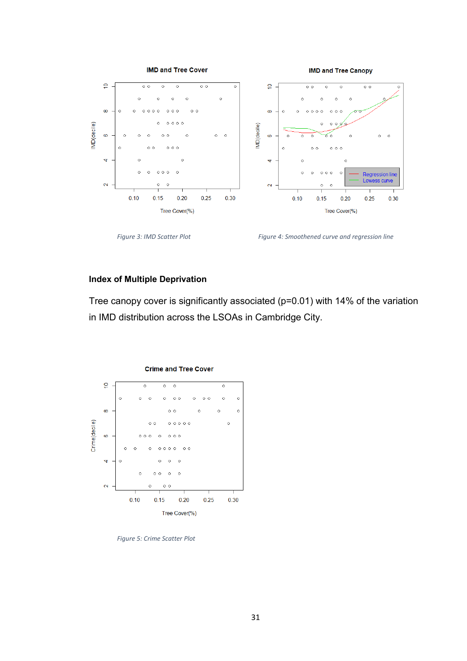

Figure 3: IMD Scatter Plot **Figure 4: Smoothened curve and regression line** 

### **Index of Multiple Deprivation**

Tree canopy cover is significantly associated (p=0.01) with 14% of the variation in IMD distribution across the LSOAs in Cambridge City.



*Figure 5: Crime Scatter Plot*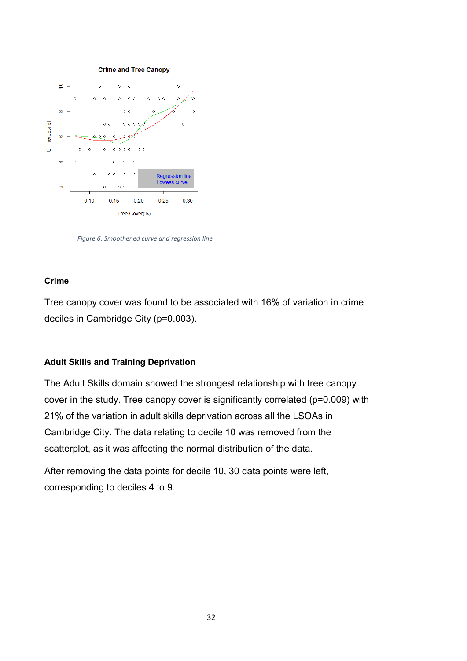

 *Figure 6: Smoothened curve and regression line* 

#### **Crime**

Tree canopy cover was found to be associated with 16% of variation in crime deciles in Cambridge City (p=0.003).

#### **Adult Skills and Training Deprivation**

The Adult Skills domain showed the strongest relationship with tree canopy cover in the study. Tree canopy cover is significantly correlated (p=0.009) with 21% of the variation in adult skills deprivation across all the LSOAs in Cambridge City. The data relating to decile 10 was removed from the scatterplot, as it was affecting the normal distribution of the data.

After removing the data points for decile 10, 30 data points were left, corresponding to deciles 4 to 9.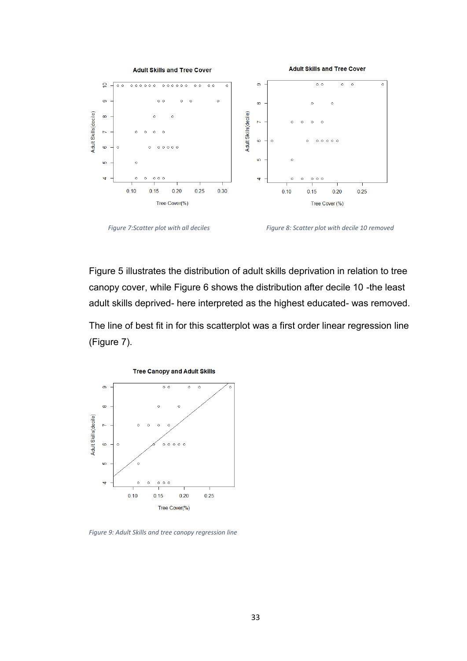

 *Figure 7:Scatter plot with all deciles Figure 8: Scatter plot with decile 10 removed* 

Figure 5 illustrates the distribution of adult skills deprivation in relation to tree canopy cover, while Figure 6 shows the distribution after decile 10 -the least adult skills deprived- here interpreted as the highest educated- was removed.

The line of best fit in for this scatterplot was a first order linear regression line (Figure 7).



*Figure 9: Adult Skills and tree canopy regression line*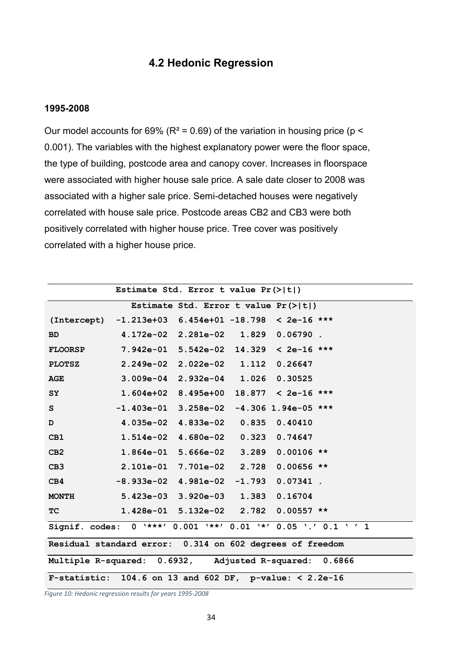## **4.2 Hedonic Regression**

#### **1995-2008**

Our model accounts for 69% ( $R^2$  = 0.69) of the variation in housing price ( $p$  < 0.001). The variables with the highest explanatory power were the floor space, the type of building, postcode area and canopy cover. Increases in floorspace were associated with higher house sale price. A sale date closer to 2008 was associated with a higher sale price. Semi-detached houses were negatively correlated with house sale price. Postcode areas CB2 and CB3 were both positively correlated with higher house price. Tree cover was positively correlated with a higher house price.

| Estimate Std. Error t value $Pr(>\vert t \vert)$ |                                                               |  |  |  |  |  |  |
|--------------------------------------------------|---------------------------------------------------------------|--|--|--|--|--|--|
|                                                  | Estimate Std. Error t value $Pr(>\vert t \vert)$              |  |  |  |  |  |  |
|                                                  | $(Intercept) -1.213e+03 6.454e+01 -18.798 < 2e-16$ ***        |  |  |  |  |  |  |
| <b>BD</b>                                        | 4.172e-02 2.281e-02 1.829 0.06790.                            |  |  |  |  |  |  |
| <b>FLOORSP</b>                                   | $7.942e-01$ 5.542e-02 14.329 < 2e-16 ***                      |  |  |  |  |  |  |
| <b>PLOTSZ</b>                                    | 2.249e-02  2.022e-02  1.112  0.26647                          |  |  |  |  |  |  |
| <b>AGE</b>                                       | 3.009e-04 2.932e-04 1.026 0.30525                             |  |  |  |  |  |  |
| <b>SY</b>                                        | $1.604e+02$ 8.495e+00 18.877 < 2e-16 ***                      |  |  |  |  |  |  |
| S                                                | $-1.403e-01$ 3.258e-02 -4.306 1.94e-05 ***                    |  |  |  |  |  |  |
| D                                                | 4.035e-02  4.833e-02  0.835  0.40410                          |  |  |  |  |  |  |
| CB1                                              | 1.514e-02  4.680e-02  0.323  0.74647                          |  |  |  |  |  |  |
| CB2                                              | $1.864e-01$ 5.666e-02 3.289 0.00106 **                        |  |  |  |  |  |  |
| CB <sub>3</sub>                                  | 2.101e-01 7.701e-02 2.728 0.00656 **                          |  |  |  |  |  |  |
| CB4                                              | $-8.933e-02$ 4.981e-02 -1.793 0.07341.                        |  |  |  |  |  |  |
|                                                  | MONTH 5.423e-03 3.920e-03 1.383 0.16704                       |  |  |  |  |  |  |
| <b>TC</b>                                        | $1.428e-01$ 5.132e-02 2.782 0.00557 **                        |  |  |  |  |  |  |
|                                                  | Signif. codes: 0 '***' 0.001 '**' 0.01 '*' 0.05 '.' 0.1 ' ' 1 |  |  |  |  |  |  |
|                                                  | Residual standard error: 0.314 on 602 degrees of freedom      |  |  |  |  |  |  |
|                                                  | Multiple R-squared: 0.6932, Adjusted R-squared: 0.6866        |  |  |  |  |  |  |
|                                                  | F-statistic: $104.6$ on 13 and 602 DF, p-value: < 2.2e-16     |  |  |  |  |  |  |

*Figure 10: Hedonic regression results for years 1995-2008*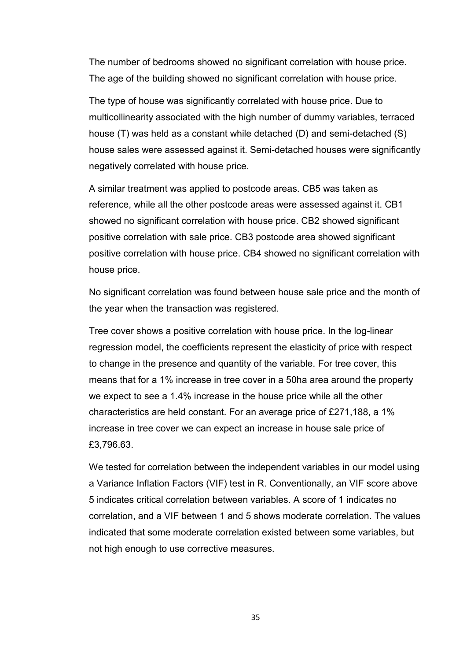The number of bedrooms showed no significant correlation with house price. The age of the building showed no significant correlation with house price.

The type of house was significantly correlated with house price. Due to multicollinearity associated with the high number of dummy variables, terraced house (T) was held as a constant while detached (D) and semi-detached (S) house sales were assessed against it. Semi-detached houses were significantly negatively correlated with house price.

A similar treatment was applied to postcode areas. CB5 was taken as reference, while all the other postcode areas were assessed against it. CB1 showed no significant correlation with house price. CB2 showed significant positive correlation with sale price. CB3 postcode area showed significant positive correlation with house price. CB4 showed no significant correlation with house price.

No significant correlation was found between house sale price and the month of the year when the transaction was registered.

Tree cover shows a positive correlation with house price. In the log-linear regression model, the coefficients represent the elasticity of price with respect to change in the presence and quantity of the variable. For tree cover, this means that for a 1% increase in tree cover in a 50ha area around the property we expect to see a 1.4% increase in the house price while all the other characteristics are held constant. For an average price of £271,188, a 1% increase in tree cover we can expect an increase in house sale price of £3,796.63.

We tested for correlation between the independent variables in our model using a Variance Inflation Factors (VIF) test in R. Conventionally, an VIF score above 5 indicates critical correlation between variables. A score of 1 indicates no correlation, and a VIF between 1 and 5 shows moderate correlation. The values indicated that some moderate correlation existed between some variables, but not high enough to use corrective measures.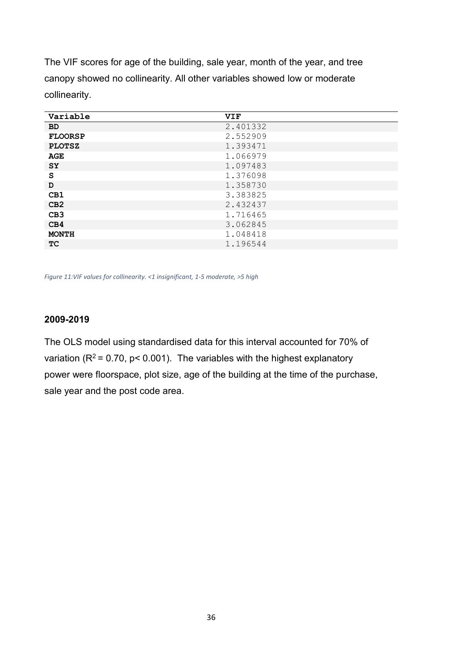The VIF scores for age of the building, sale year, month of the year, and tree canopy showed no collinearity. All other variables showed low or moderate collinearity.

| Variable        | <b>VIF</b> |
|-----------------|------------|
| <b>BD</b>       | 2.401332   |
| <b>FLOORSP</b>  | 2.552909   |
| <b>PLOTSZ</b>   | 1.393471   |
| <b>AGE</b>      | 1.066979   |
| <b>SY</b>       | 1.097483   |
| S               | 1.376098   |
| D               | 1.358730   |
| CB1             | 3.383825   |
| CB2             | 2.432437   |
| CB <sub>3</sub> | 1.716465   |
| CB4             | 3.062845   |
| <b>MONTH</b>    | 1.048418   |
| <b>TC</b>       | 1.196544   |

*Figure 11:VIF values for collinearity. <1 insignificant, 1-5 moderate, >5 high*

#### **2009-2019**

The OLS model using standardised data for this interval accounted for 70% of variation ( $R^2$  = 0.70, p < 0.001). The variables with the highest explanatory power were floorspace, plot size, age of the building at the time of the purchase, sale year and the post code area.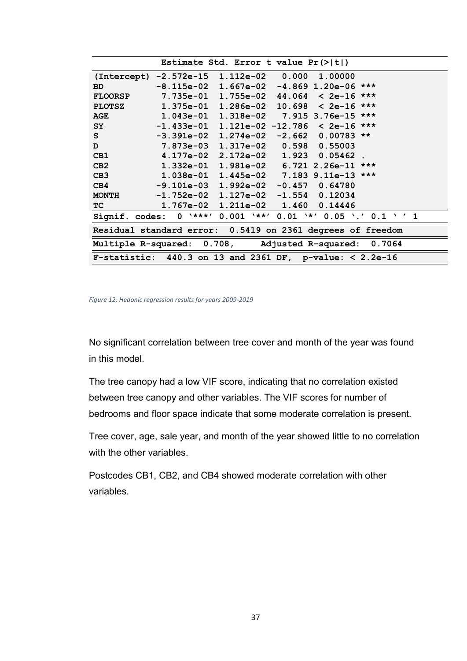|                 | Estimate Std. Error t value $Pr(>\vert t \vert)$             |                                            |          |                     |                                                |  |  |
|-----------------|--------------------------------------------------------------|--------------------------------------------|----------|---------------------|------------------------------------------------|--|--|
| (Intercept)     | -2.572e-15                                                   | $1.112e-02$ 0.000                          |          | 1,00000             |                                                |  |  |
| <b>BD</b>       | $-8.115e-02$ 1.667e-02 $-4.869$ 1.20e-06 ***                 |                                            |          |                     |                                                |  |  |
| <b>FLOORSP</b>  |                                                              | $7.735e-01$ 1.755e-02 44.064 < 2e-16 ***   |          |                     |                                                |  |  |
| <b>PLOTSZ</b>   | $1.375e-01$                                                  | $1.286e-02$ 10.698 < 2e-16 ***             |          |                     |                                                |  |  |
| <b>AGE</b>      |                                                              | $1.043e-01$ $1.318e-02$ 7.915 3.76e-15 *** |          |                     |                                                |  |  |
| <b>SY</b>       | $-1.433e-01$ 1.121e-02 -12.786 < 2e-16 ***                   |                                            |          |                     |                                                |  |  |
| S.              |                                                              |                                            | $-2.662$ | $0.00783$ **        |                                                |  |  |
| D               | 7.873e-03 1.317e-02 0.598 0.55003                            |                                            |          |                     |                                                |  |  |
| CB1             | 4.177e-02 2.172e-02                                          |                                            | 1.923    | $0.05462$ .         |                                                |  |  |
| CB2             | 1.332e-01 1.981e-02 6.721 2.26e-11 ***                       |                                            |          |                     |                                                |  |  |
| CB <sub>3</sub> | $1.038e-01$ $1.445e-02$ $7.183$ $9.11e-13$ ***               |                                            |          |                     |                                                |  |  |
| CB4             | $-9.101e-03$ $1.992e-02$ $-0.457$                            |                                            |          | 0.64780             |                                                |  |  |
| <b>MONTH</b>    | $-1.752e-02$ $1.127e-02$ $-1.554$                            |                                            |          | 0.12034             |                                                |  |  |
| TC.             |                                                              |                                            | 1.460    | 0.14446             |                                                |  |  |
| Signif. codes:  | $0$ '***'                                                    |                                            |          |                     | $0.001$ '**' $0.01$ '*' $0.05$ '.' $0.1$ ' ' 1 |  |  |
|                 | Residual standard error: 0.5419 on 2361 degrees of freedom   |                                            |          |                     |                                                |  |  |
|                 | Multiple R-squared: 0.708,                                   |                                            |          | Adjusted R-squared: | 0.7064                                         |  |  |
|                 | F-statistic: $440.3$ on 13 and 2361 DF, p-value: $< 2.2e-16$ |                                            |          |                     |                                                |  |  |

*Figure 12: Hedonic regression results for years 2009-2019*

No significant correlation between tree cover and month of the year was found in this model.

The tree canopy had a low VIF score, indicating that no correlation existed between tree canopy and other variables. The VIF scores for number of bedrooms and floor space indicate that some moderate correlation is present.

Tree cover, age, sale year, and month of the year showed little to no correlation with the other variables.

Postcodes CB1, CB2, and CB4 showed moderate correlation with other variables.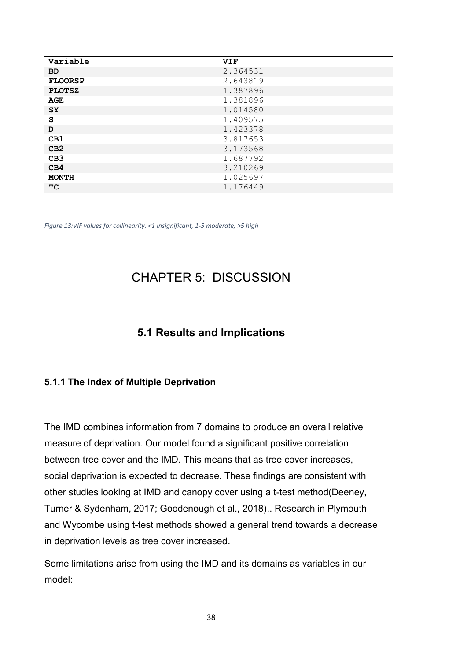| Variable        | <b>VIF</b> |
|-----------------|------------|
| <b>BD</b>       | 2.364531   |
| <b>FLOORSP</b>  | 2.643819   |
| <b>PLOTSZ</b>   | 1.387896   |
| <b>AGE</b>      | 1.381896   |
| <b>SY</b>       | 1.014580   |
| S               | 1.409575   |
| D               | 1.423378   |
| CB1             | 3.817653   |
| CB2             | 3.173568   |
| CB <sub>3</sub> | 1.687792   |
| CB4             | 3.210269   |
| <b>MONTH</b>    | 1.025697   |
| <b>TC</b>       | 1.176449   |

*Figure 13:VIF values for collinearity. <1 insignificant, 1-5 moderate, >5 high*

## CHAPTER 5: DISCUSSION

## **5.1 Results and Implications**

#### **5.1.1 The Index of Multiple Deprivation**

The IMD combines information from 7 domains to produce an overall relative measure of deprivation. Our model found a significant positive correlation between tree cover and the IMD. This means that as tree cover increases, social deprivation is expected to decrease. These findings are consistent with other studies looking at IMD and canopy cover using a t-test method(Deeney, Turner & Sydenham, 2017; Goodenough et al., 2018).. Research in Plymouth and Wycombe using t-test methods showed a general trend towards a decrease in deprivation levels as tree cover increased.

Some limitations arise from using the IMD and its domains as variables in our model: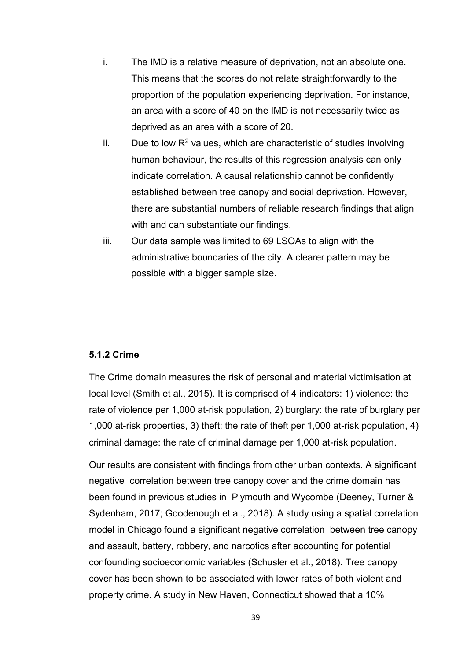- i. The IMD is a relative measure of deprivation, not an absolute one. This means that the scores do not relate straightforwardly to the proportion of the population experiencing deprivation. For instance, an area with a score of 40 on the IMD is not necessarily twice as deprived as an area with a score of 20.
- ii. Due to low  $R^2$  values, which are characteristic of studies involving human behaviour, the results of this regression analysis can only indicate correlation. A causal relationship cannot be confidently established between tree canopy and social deprivation. However, there are substantial numbers of reliable research findings that align with and can substantiate our findings.
- iii. Our data sample was limited to 69 LSOAs to align with the administrative boundaries of the city. A clearer pattern may be possible with a bigger sample size.

#### **5.1.2 Crime**

The Crime domain measures the risk of personal and material victimisation at local level (Smith et al., 2015). It is comprised of 4 indicators: 1) violence: the rate of violence per 1,000 at-risk population, 2) burglary: the rate of burglary per 1,000 at-risk properties, 3) theft: the rate of theft per 1,000 at-risk population, 4) criminal damage: the rate of criminal damage per 1,000 at-risk population.

Our results are consistent with findings from other urban contexts. A significant negative correlation between tree canopy cover and the crime domain has been found in previous studies in Plymouth and Wycombe (Deeney, Turner & Sydenham, 2017; Goodenough et al., 2018). A study using a spatial correlation model in Chicago found a significant negative correlation between tree canopy and assault, battery, robbery, and narcotics after accounting for potential confounding socioeconomic variables (Schusler et al., 2018). Tree canopy cover has been shown to be associated with lower rates of both violent and property crime. A study in New Haven, Connecticut showed that a 10%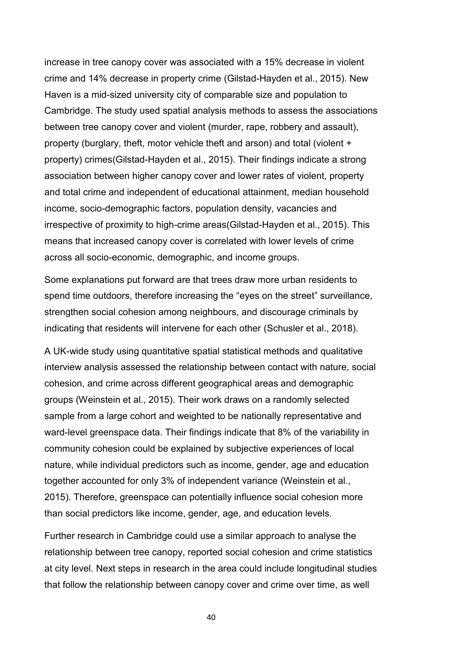increase in tree canopy cover was associated with a 15% decrease in violent crime and 14% decrease in property crime (Gilstad-Hayden et al., 2015). New Haven is a mid-sized university city of comparable size and population to Cambridge. The study used spatial analysis methods to assess the associations between tree canopy cover and violent (murder, rape, robbery and assault), property (burglary, theft, motor vehicle theft and arson) and total (violent + property) crimes(Gilstad-Hayden et al., 2015). Their findings indicate a strong association between higher canopy cover and lower rates of violent, property and total crime and independent of educational attainment, median household income, socio-demographic factors, population density, vacancies and irrespective of proximity to high-crime areas(Gilstad-Hayden et al., 2015). This means that increased canopy cover is correlated with lower levels of crime across all socio-economic, demographic, and income groups.

Some explanations put forward are that trees draw more urban residents to spend time outdoors, therefore increasing the "eyes on the street" surveillance, strengthen social cohesion among neighbours, and discourage criminals by indicating that residents will intervene for each other (Schusler et al., 2018).

A UK-wide study using quantitative spatial statistical methods and qualitative interview analysis assessed the relationship between contact with nature, social cohesion, and crime across different geographical areas and demographic groups (Weinstein et al., 2015). Their work draws on a randomly selected sample from a large cohort and weighted to be nationally representative and ward-level greenspace data. Their findings indicate that 8% of the variability in community cohesion could be explained by subjective experiences of local nature, while individual predictors such as income, gender, age and education together accounted for only 3% of independent variance (Weinstein et al., 2015). Therefore, greenspace can potentially influence social cohesion more than social predictors like income, gender, age, and education levels.

Further research in Cambridge could use a similar approach to analyse the relationship between tree canopy, reported social cohesion and crime statistics at city level. Next steps in research in the area could include longitudinal studies that follow the relationship between canopy cover and crime over time, as well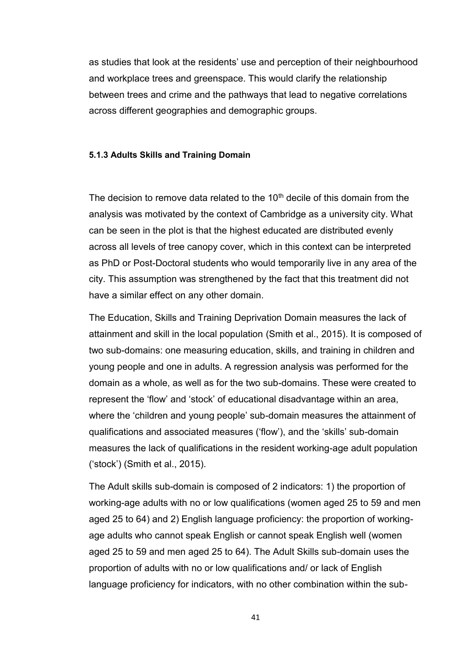as studies that look at the residents' use and perception of their neighbourhood and workplace trees and greenspace. This would clarify the relationship between trees and crime and the pathways that lead to negative correlations across different geographies and demographic groups.

#### **5.1.3 Adults Skills and Training Domain**

The decision to remove data related to the  $10<sup>th</sup>$  decile of this domain from the analysis was motivated by the context of Cambridge as a university city. What can be seen in the plot is that the highest educated are distributed evenly across all levels of tree canopy cover, which in this context can be interpreted as PhD or Post-Doctoral students who would temporarily live in any area of the city. This assumption was strengthened by the fact that this treatment did not have a similar effect on any other domain.

The Education, Skills and Training Deprivation Domain measures the lack of attainment and skill in the local population (Smith et al., 2015). It is composed of two sub-domains: one measuring education, skills, and training in children and young people and one in adults. A regression analysis was performed for the domain as a whole, as well as for the two sub-domains. These were created to represent the 'flow' and 'stock' of educational disadvantage within an area, where the 'children and young people' sub-domain measures the attainment of qualifications and associated measures ('flow'), and the 'skills' sub-domain measures the lack of qualifications in the resident working-age adult population ('stock') (Smith et al., 2015).

The Adult skills sub-domain is composed of 2 indicators: 1) the proportion of working-age adults with no or low qualifications (women aged 25 to 59 and men aged 25 to 64) and 2) English language proficiency: the proportion of workingage adults who cannot speak English or cannot speak English well (women aged 25 to 59 and men aged 25 to 64). The Adult Skills sub-domain uses the proportion of adults with no or low qualifications and/ or lack of English language proficiency for indicators, with no other combination within the sub-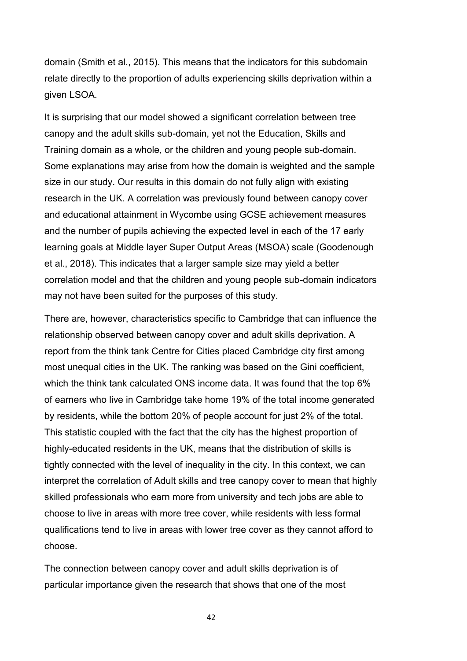domain (Smith et al., 2015). This means that the indicators for this subdomain relate directly to the proportion of adults experiencing skills deprivation within a given LSOA.

It is surprising that our model showed a significant correlation between tree canopy and the adult skills sub-domain, yet not the Education, Skills and Training domain as a whole, or the children and young people sub-domain. Some explanations may arise from how the domain is weighted and the sample size in our study. Our results in this domain do not fully align with existing research in the UK. A correlation was previously found between canopy cover and educational attainment in Wycombe using GCSE achievement measures and the number of pupils achieving the expected level in each of the 17 early learning goals at Middle layer Super Output Areas (MSOA) scale (Goodenough et al., 2018). This indicates that a larger sample size may yield a better correlation model and that the children and young people sub-domain indicators may not have been suited for the purposes of this study.

There are, however, characteristics specific to Cambridge that can influence the relationship observed between canopy cover and adult skills deprivation. A report from the think tank Centre for Cities placed Cambridge city first among most unequal cities in the UK. The ranking was based on the Gini coefficient, which the think tank calculated ONS income data. It was found that the top 6% of earners who live in Cambridge take home 19% of the total income generated by residents, while the bottom 20% of people account for just 2% of the total. This statistic coupled with the fact that the city has the highest proportion of highly-educated residents in the UK, means that the distribution of skills is tightly connected with the level of inequality in the city. In this context, we can interpret the correlation of Adult skills and tree canopy cover to mean that highly skilled professionals who earn more from university and tech jobs are able to choose to live in areas with more tree cover, while residents with less formal qualifications tend to live in areas with lower tree cover as they cannot afford to choose.

The connection between canopy cover and adult skills deprivation is of particular importance given the research that shows that one of the most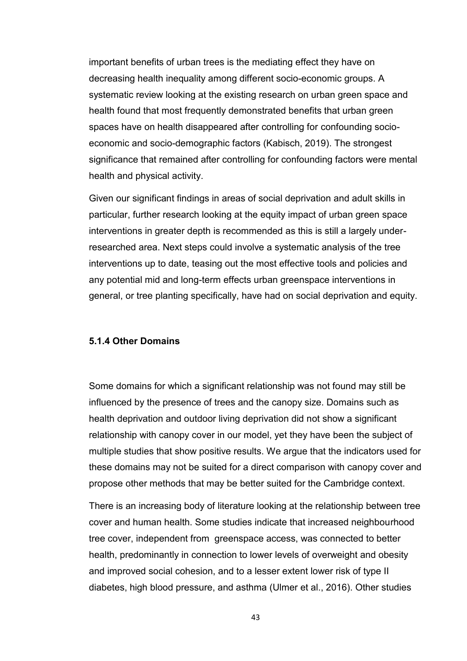important benefits of urban trees is the mediating effect they have on decreasing health inequality among different socio-economic groups. A systematic review looking at the existing research on urban green space and health found that most frequently demonstrated benefits that urban green spaces have on health disappeared after controlling for confounding socioeconomic and socio-demographic factors (Kabisch, 2019). The strongest significance that remained after controlling for confounding factors were mental health and physical activity.

Given our significant findings in areas of social deprivation and adult skills in particular, further research looking at the equity impact of urban green space interventions in greater depth is recommended as this is still a largely underresearched area. Next steps could involve a systematic analysis of the tree interventions up to date, teasing out the most effective tools and policies and any potential mid and long-term effects urban greenspace interventions in general, or tree planting specifically, have had on social deprivation and equity.

#### **5.1.4 Other Domains**

Some domains for which a significant relationship was not found may still be influenced by the presence of trees and the canopy size. Domains such as health deprivation and outdoor living deprivation did not show a significant relationship with canopy cover in our model, yet they have been the subject of multiple studies that show positive results. We argue that the indicators used for these domains may not be suited for a direct comparison with canopy cover and propose other methods that may be better suited for the Cambridge context.

There is an increasing body of literature looking at the relationship between tree cover and human health. Some studies indicate that increased neighbourhood tree cover, independent from greenspace access, was connected to better health, predominantly in connection to lower levels of overweight and obesity and improved social cohesion, and to a lesser extent lower risk of type II diabetes, high blood pressure, and asthma (Ulmer et al., 2016). Other studies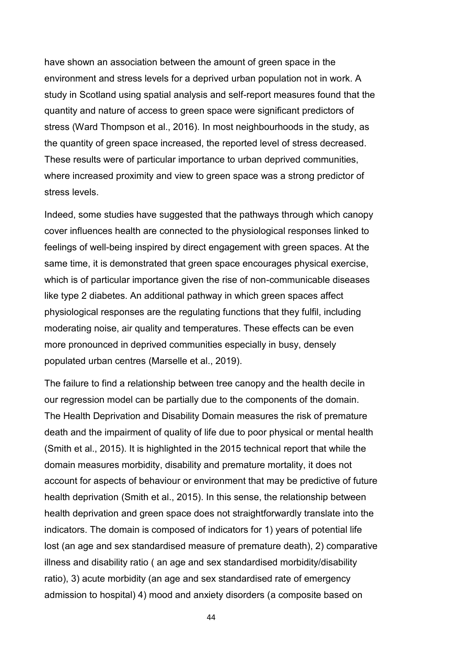have shown an association between the amount of green space in the environment and stress levels for a deprived urban population not in work. A study in Scotland using spatial analysis and self-report measures found that the quantity and nature of access to green space were significant predictors of stress (Ward Thompson et al., 2016). In most neighbourhoods in the study, as the quantity of green space increased, the reported level of stress decreased. These results were of particular importance to urban deprived communities, where increased proximity and view to green space was a strong predictor of stress levels.

Indeed, some studies have suggested that the pathways through which canopy cover influences health are connected to the physiological responses linked to feelings of well-being inspired by direct engagement with green spaces. At the same time, it is demonstrated that green space encourages physical exercise, which is of particular importance given the rise of non-communicable diseases like type 2 diabetes. An additional pathway in which green spaces affect physiological responses are the regulating functions that they fulfil, including moderating noise, air quality and temperatures. These effects can be even more pronounced in deprived communities especially in busy, densely populated urban centres (Marselle et al., 2019).

The failure to find a relationship between tree canopy and the health decile in our regression model can be partially due to the components of the domain. The Health Deprivation and Disability Domain measures the risk of premature death and the impairment of quality of life due to poor physical or mental health (Smith et al., 2015). It is highlighted in the 2015 technical report that while the domain measures morbidity, disability and premature mortality, it does not account for aspects of behaviour or environment that may be predictive of future health deprivation (Smith et al., 2015). In this sense, the relationship between health deprivation and green space does not straightforwardly translate into the indicators. The domain is composed of indicators for 1) years of potential life lost (an age and sex standardised measure of premature death), 2) comparative illness and disability ratio ( an age and sex standardised morbidity/disability ratio), 3) acute morbidity (an age and sex standardised rate of emergency admission to hospital) 4) mood and anxiety disorders (a composite based on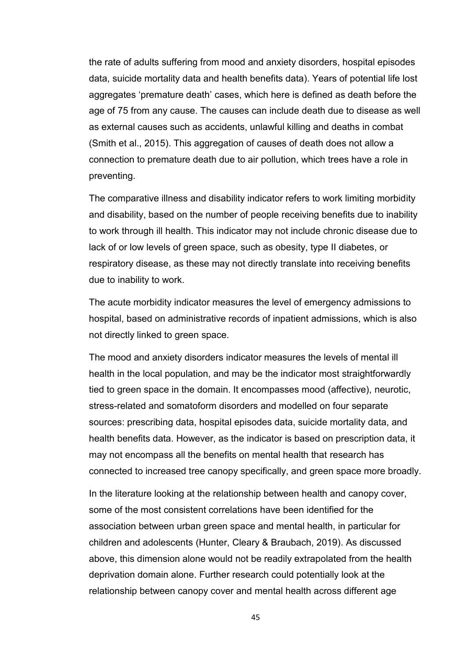the rate of adults suffering from mood and anxiety disorders, hospital episodes data, suicide mortality data and health benefits data). Years of potential life lost aggregates 'premature death' cases, which here is defined as death before the age of 75 from any cause. The causes can include death due to disease as well as external causes such as accidents, unlawful killing and deaths in combat (Smith et al., 2015). This aggregation of causes of death does not allow a connection to premature death due to air pollution, which trees have a role in preventing.

The comparative illness and disability indicator refers to work limiting morbidity and disability, based on the number of people receiving benefits due to inability to work through ill health. This indicator may not include chronic disease due to lack of or low levels of green space, such as obesity, type II diabetes, or respiratory disease, as these may not directly translate into receiving benefits due to inability to work.

The acute morbidity indicator measures the level of emergency admissions to hospital, based on administrative records of inpatient admissions, which is also not directly linked to green space.

The mood and anxiety disorders indicator measures the levels of mental ill health in the local population, and may be the indicator most straightforwardly tied to green space in the domain. It encompasses mood (affective), neurotic, stress-related and somatoform disorders and modelled on four separate sources: prescribing data, hospital episodes data, suicide mortality data, and health benefits data. However, as the indicator is based on prescription data, it may not encompass all the benefits on mental health that research has connected to increased tree canopy specifically, and green space more broadly.

In the literature looking at the relationship between health and canopy cover, some of the most consistent correlations have been identified for the association between urban green space and mental health, in particular for children and adolescents (Hunter, Cleary & Braubach, 2019). As discussed above, this dimension alone would not be readily extrapolated from the health deprivation domain alone. Further research could potentially look at the relationship between canopy cover and mental health across different age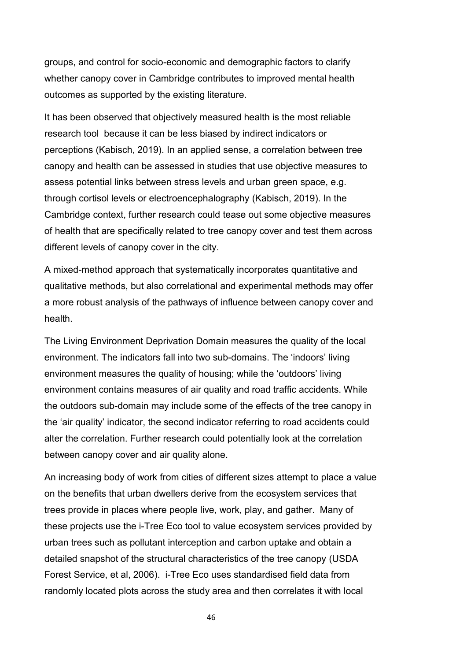groups, and control for socio-economic and demographic factors to clarify whether canopy cover in Cambridge contributes to improved mental health outcomes as supported by the existing literature.

It has been observed that objectively measured health is the most reliable research tool because it can be less biased by indirect indicators or perceptions (Kabisch, 2019). In an applied sense, a correlation between tree canopy and health can be assessed in studies that use objective measures to assess potential links between stress levels and urban green space, e.g. through cortisol levels or electroencephalography (Kabisch, 2019). In the Cambridge context, further research could tease out some objective measures of health that are specifically related to tree canopy cover and test them across different levels of canopy cover in the city.

A mixed-method approach that systematically incorporates quantitative and qualitative methods, but also correlational and experimental methods may offer a more robust analysis of the pathways of influence between canopy cover and health.

The Living Environment Deprivation Domain measures the quality of the local environment. The indicators fall into two sub-domains. The 'indoors' living environment measures the quality of housing; while the 'outdoors' living environment contains measures of air quality and road traffic accidents. While the outdoors sub-domain may include some of the effects of the tree canopy in the 'air quality' indicator, the second indicator referring to road accidents could alter the correlation. Further research could potentially look at the correlation between canopy cover and air quality alone.

An increasing body of work from cities of different sizes attempt to place a value on the benefits that urban dwellers derive from the ecosystem services that trees provide in places where people live, work, play, and gather. Many of these projects use the i-Tree Eco tool to value ecosystem services provided by urban trees such as pollutant interception and carbon uptake and obtain a detailed snapshot of the structural characteristics of the tree canopy (USDA Forest Service, et al, 2006). i-Tree Eco uses standardised field data from randomly located plots across the study area and then correlates it with local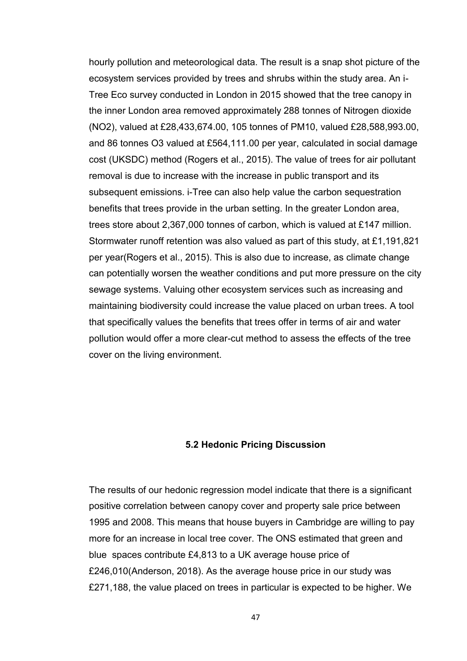hourly pollution and meteorological data. The result is a snap shot picture of the ecosystem services provided by trees and shrubs within the study area. An i-Tree Eco survey conducted in London in 2015 showed that the tree canopy in the inner London area removed approximately 288 tonnes of Nitrogen dioxide (NO2), valued at £28,433,674.00, 105 tonnes of PM10, valued £28,588,993.00, and 86 tonnes O3 valued at £564,111.00 per year, calculated in social damage cost (UKSDC) method (Rogers et al., 2015). The value of trees for air pollutant removal is due to increase with the increase in public transport and its subsequent emissions. i-Tree can also help value the carbon sequestration benefits that trees provide in the urban setting. In the greater London area, trees store about 2,367,000 tonnes of carbon, which is valued at £147 million. Stormwater runoff retention was also valued as part of this study, at £1,191,821 per year(Rogers et al., 2015). This is also due to increase, as climate change can potentially worsen the weather conditions and put more pressure on the city sewage systems. Valuing other ecosystem services such as increasing and maintaining biodiversity could increase the value placed on urban trees. A tool that specifically values the benefits that trees offer in terms of air and water pollution would offer a more clear-cut method to assess the effects of the tree cover on the living environment.

#### **5.2 Hedonic Pricing Discussion**

The results of our hedonic regression model indicate that there is a significant positive correlation between canopy cover and property sale price between 1995 and 2008. This means that house buyers in Cambridge are willing to pay more for an increase in local tree cover. The ONS estimated that green and blue spaces contribute £4,813 to a UK average house price of £246,010(Anderson, 2018). As the average house price in our study was £271,188, the value placed on trees in particular is expected to be higher. We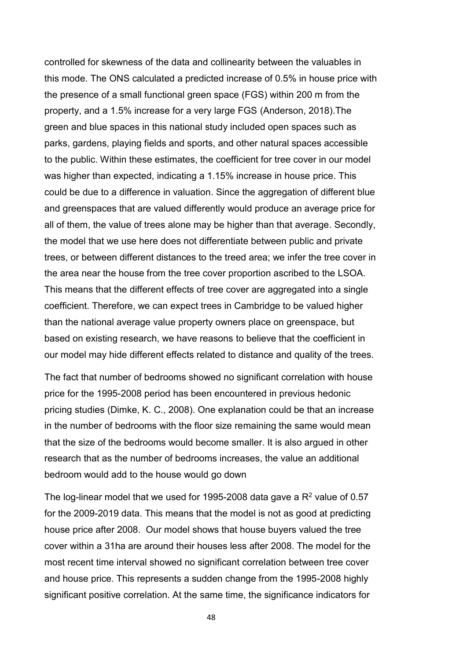controlled for skewness of the data and collinearity between the valuables in this mode. The ONS calculated a predicted increase of 0.5% in house price with the presence of a small functional green space (FGS) within 200 m from the property, and a 1.5% increase for a very large FGS (Anderson, 2018).The green and blue spaces in this national study included open spaces such as parks, gardens, playing fields and sports, and other natural spaces accessible to the public. Within these estimates, the coefficient for tree cover in our model was higher than expected, indicating a 1.15% increase in house price. This could be due to a difference in valuation. Since the aggregation of different blue and greenspaces that are valued differently would produce an average price for all of them, the value of trees alone may be higher than that average. Secondly, the model that we use here does not differentiate between public and private trees, or between different distances to the treed area; we infer the tree cover in the area near the house from the tree cover proportion ascribed to the LSOA. This means that the different effects of tree cover are aggregated into a single coefficient. Therefore, we can expect trees in Cambridge to be valued higher than the national average value property owners place on greenspace, but based on existing research, we have reasons to believe that the coefficient in our model may hide different effects related to distance and quality of the trees.

The fact that number of bedrooms showed no significant correlation with house price for the 1995-2008 period has been encountered in previous hedonic pricing studies (Dimke, K. C., 2008). One explanation could be that an increase in the number of bedrooms with the floor size remaining the same would mean that the size of the bedrooms would become smaller. It is also argued in other research that as the number of bedrooms increases, the value an additional bedroom would add to the house would go down

The log-linear model that we used for 1995-2008 data gave a  $R^2$  value of 0.57 for the 2009-2019 data. This means that the model is not as good at predicting house price after 2008. Our model shows that house buyers valued the tree cover within a 31ha are around their houses less after 2008. The model for the most recent time interval showed no significant correlation between tree cover and house price. This represents a sudden change from the 1995-2008 highly significant positive correlation. At the same time, the significance indicators for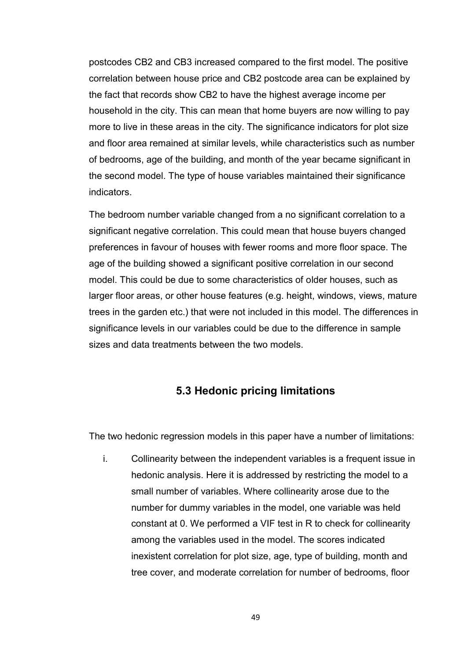postcodes CB2 and CB3 increased compared to the first model. The positive correlation between house price and CB2 postcode area can be explained by the fact that records show CB2 to have the highest average income per household in the city. This can mean that home buyers are now willing to pay more to live in these areas in the city. The significance indicators for plot size and floor area remained at similar levels, while characteristics such as number of bedrooms, age of the building, and month of the year became significant in the second model. The type of house variables maintained their significance indicators.

The bedroom number variable changed from a no significant correlation to a significant negative correlation. This could mean that house buyers changed preferences in favour of houses with fewer rooms and more floor space. The age of the building showed a significant positive correlation in our second model. This could be due to some characteristics of older houses, such as larger floor areas, or other house features (e.g. height, windows, views, mature trees in the garden etc.) that were not included in this model. The differences in significance levels in our variables could be due to the difference in sample sizes and data treatments between the two models.

## **5.3 Hedonic pricing limitations**

The two hedonic regression models in this paper have a number of limitations:

i. Collinearity between the independent variables is a frequent issue in hedonic analysis. Here it is addressed by restricting the model to a small number of variables. Where collinearity arose due to the number for dummy variables in the model, one variable was held constant at 0. We performed a VIF test in R to check for collinearity among the variables used in the model. The scores indicated inexistent correlation for plot size, age, type of building, month and tree cover, and moderate correlation for number of bedrooms, floor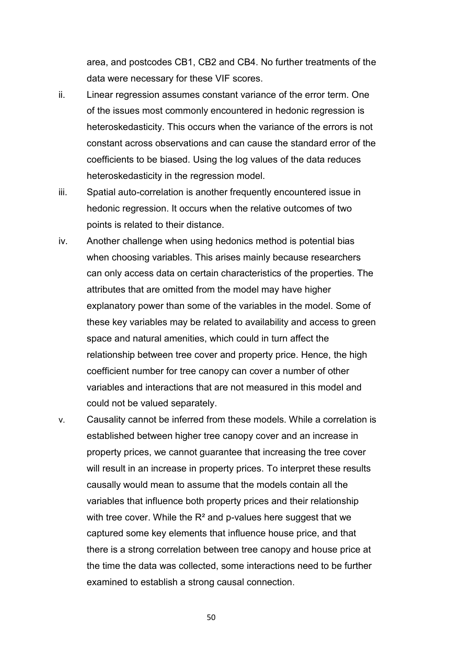area, and postcodes CB1, CB2 and CB4. No further treatments of the data were necessary for these VIF scores.

- ii. Linear regression assumes constant variance of the error term. One of the issues most commonly encountered in hedonic regression is heteroskedasticity. This occurs when the variance of the errors is not constant across observations and can cause the standard error of the coefficients to be biased. Using the log values of the data reduces heteroskedasticity in the regression model.
- iii. Spatial auto-correlation is another frequently encountered issue in hedonic regression. It occurs when the relative outcomes of two points is related to their distance.
- iv. Another challenge when using hedonics method is potential bias when choosing variables. This arises mainly because researchers can only access data on certain characteristics of the properties. The attributes that are omitted from the model may have higher explanatory power than some of the variables in the model. Some of these key variables may be related to availability and access to green space and natural amenities, which could in turn affect the relationship between tree cover and property price. Hence, the high coefficient number for tree canopy can cover a number of other variables and interactions that are not measured in this model and could not be valued separately.
- v. Causality cannot be inferred from these models. While a correlation is established between higher tree canopy cover and an increase in property prices, we cannot guarantee that increasing the tree cover will result in an increase in property prices. To interpret these results causally would mean to assume that the models contain all the variables that influence both property prices and their relationship with tree cover. While the  $R<sup>2</sup>$  and p-values here suggest that we captured some key elements that influence house price, and that there is a strong correlation between tree canopy and house price at the time the data was collected, some interactions need to be further examined to establish a strong causal connection.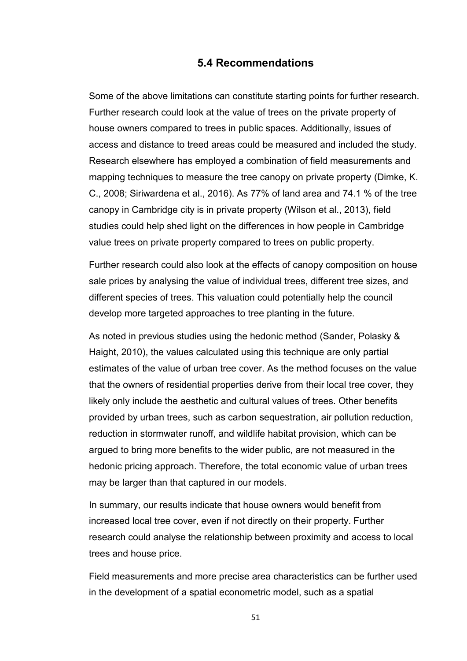### **5.4 Recommendations**

Some of the above limitations can constitute starting points for further research. Further research could look at the value of trees on the private property of house owners compared to trees in public spaces. Additionally, issues of access and distance to treed areas could be measured and included the study. Research elsewhere has employed a combination of field measurements and mapping techniques to measure the tree canopy on private property (Dimke, K. C., 2008; Siriwardena et al., 2016). As 77% of land area and 74.1 % of the tree canopy in Cambridge city is in private property (Wilson et al., 2013), field studies could help shed light on the differences in how people in Cambridge value trees on private property compared to trees on public property.

Further research could also look at the effects of canopy composition on house sale prices by analysing the value of individual trees, different tree sizes, and different species of trees. This valuation could potentially help the council develop more targeted approaches to tree planting in the future.

As noted in previous studies using the hedonic method (Sander, Polasky & Haight, 2010), the values calculated using this technique are only partial estimates of the value of urban tree cover. As the method focuses on the value that the owners of residential properties derive from their local tree cover, they likely only include the aesthetic and cultural values of trees. Other benefits provided by urban trees, such as carbon sequestration, air pollution reduction, reduction in stormwater runoff, and wildlife habitat provision, which can be argued to bring more benefits to the wider public, are not measured in the hedonic pricing approach. Therefore, the total economic value of urban trees may be larger than that captured in our models.

In summary, our results indicate that house owners would benefit from increased local tree cover, even if not directly on their property. Further research could analyse the relationship between proximity and access to local trees and house price.

Field measurements and more precise area characteristics can be further used in the development of a spatial econometric model, such as a spatial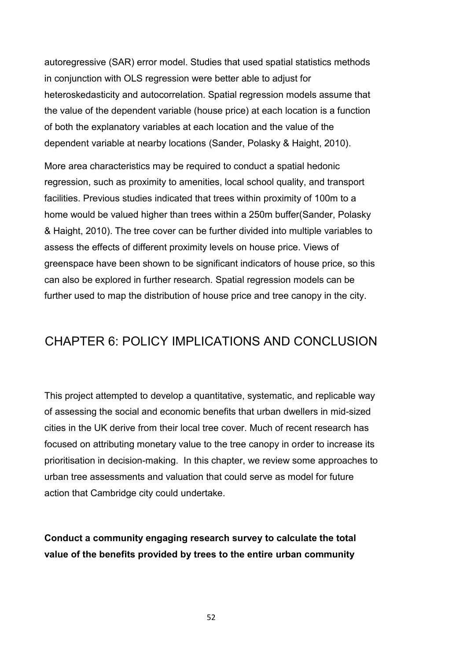autoregressive (SAR) error model. Studies that used spatial statistics methods in conjunction with OLS regression were better able to adjust for heteroskedasticity and autocorrelation. Spatial regression models assume that the value of the dependent variable (house price) at each location is a function of both the explanatory variables at each location and the value of the dependent variable at nearby locations (Sander, Polasky & Haight, 2010).

More area characteristics may be required to conduct a spatial hedonic regression, such as proximity to amenities, local school quality, and transport facilities. Previous studies indicated that trees within proximity of 100m to a home would be valued higher than trees within a 250m buffer(Sander, Polasky & Haight, 2010). The tree cover can be further divided into multiple variables to assess the effects of different proximity levels on house price. Views of greenspace have been shown to be significant indicators of house price, so this can also be explored in further research. Spatial regression models can be further used to map the distribution of house price and tree canopy in the city.

## CHAPTER 6: POLICY IMPLICATIONS AND CONCLUSION

This project attempted to develop a quantitative, systematic, and replicable way of assessing the social and economic benefits that urban dwellers in mid-sized cities in the UK derive from their local tree cover. Much of recent research has focused on attributing monetary value to the tree canopy in order to increase its prioritisation in decision-making. In this chapter, we review some approaches to urban tree assessments and valuation that could serve as model for future action that Cambridge city could undertake.

**Conduct a community engaging research survey to calculate the total value of the benefits provided by trees to the entire urban community**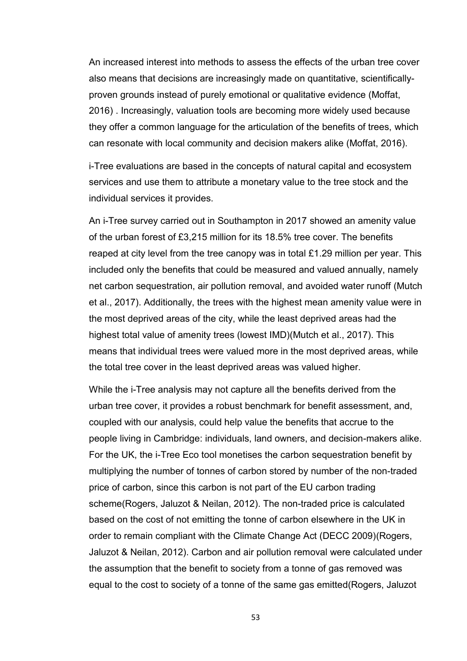An increased interest into methods to assess the effects of the urban tree cover also means that decisions are increasingly made on quantitative, scientificallyproven grounds instead of purely emotional or qualitative evidence (Moffat, 2016) . Increasingly, valuation tools are becoming more widely used because they offer a common language for the articulation of the benefits of trees, which can resonate with local community and decision makers alike (Moffat, 2016).

i-Tree evaluations are based in the concepts of natural capital and ecosystem services and use them to attribute a monetary value to the tree stock and the individual services it provides.

An i-Tree survey carried out in Southampton in 2017 showed an amenity value of the urban forest of £3,215 million for its 18.5% tree cover. The benefits reaped at city level from the tree canopy was in total £1.29 million per year. This included only the benefits that could be measured and valued annually, namely net carbon sequestration, air pollution removal, and avoided water runoff (Mutch et al., 2017). Additionally, the trees with the highest mean amenity value were in the most deprived areas of the city, while the least deprived areas had the highest total value of amenity trees (lowest IMD)(Mutch et al., 2017). This means that individual trees were valued more in the most deprived areas, while the total tree cover in the least deprived areas was valued higher.

While the i-Tree analysis may not capture all the benefits derived from the urban tree cover, it provides a robust benchmark for benefit assessment, and, coupled with our analysis, could help value the benefits that accrue to the people living in Cambridge: individuals, land owners, and decision-makers alike. For the UK, the i-Tree Eco tool monetises the carbon sequestration benefit by multiplying the number of tonnes of carbon stored by number of the non-traded price of carbon, since this carbon is not part of the EU carbon trading scheme(Rogers, Jaluzot & Neilan, 2012). The non-traded price is calculated based on the cost of not emitting the tonne of carbon elsewhere in the UK in order to remain compliant with the Climate Change Act (DECC 2009)(Rogers, Jaluzot & Neilan, 2012). Carbon and air pollution removal were calculated under the assumption that the benefit to society from a tonne of gas removed was equal to the cost to society of a tonne of the same gas emitted(Rogers, Jaluzot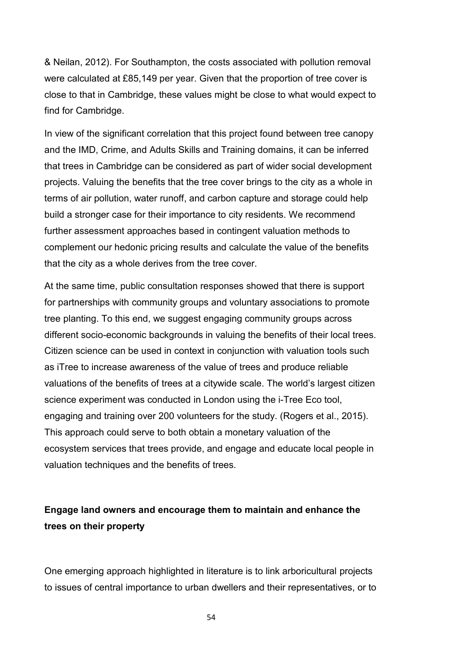& Neilan, 2012). For Southampton, the costs associated with pollution removal were calculated at £85,149 per year. Given that the proportion of tree cover is close to that in Cambridge, these values might be close to what would expect to find for Cambridge.

In view of the significant correlation that this project found between tree canopy and the IMD, Crime, and Adults Skills and Training domains, it can be inferred that trees in Cambridge can be considered as part of wider social development projects. Valuing the benefits that the tree cover brings to the city as a whole in terms of air pollution, water runoff, and carbon capture and storage could help build a stronger case for their importance to city residents. We recommend further assessment approaches based in contingent valuation methods to complement our hedonic pricing results and calculate the value of the benefits that the city as a whole derives from the tree cover.

At the same time, public consultation responses showed that there is support for partnerships with community groups and voluntary associations to promote tree planting. To this end, we suggest engaging community groups across different socio-economic backgrounds in valuing the benefits of their local trees. Citizen science can be used in context in conjunction with valuation tools such as iTree to increase awareness of the value of trees and produce reliable valuations of the benefits of trees at a citywide scale. The world's largest citizen science experiment was conducted in London using the i-Tree Eco tool, engaging and training over 200 volunteers for the study. (Rogers et al., 2015). This approach could serve to both obtain a monetary valuation of the ecosystem services that trees provide, and engage and educate local people in valuation techniques and the benefits of trees.

## **Engage land owners and encourage them to maintain and enhance the trees on their property**

One emerging approach highlighted in literature is to link arboricultural projects to issues of central importance to urban dwellers and their representatives, or to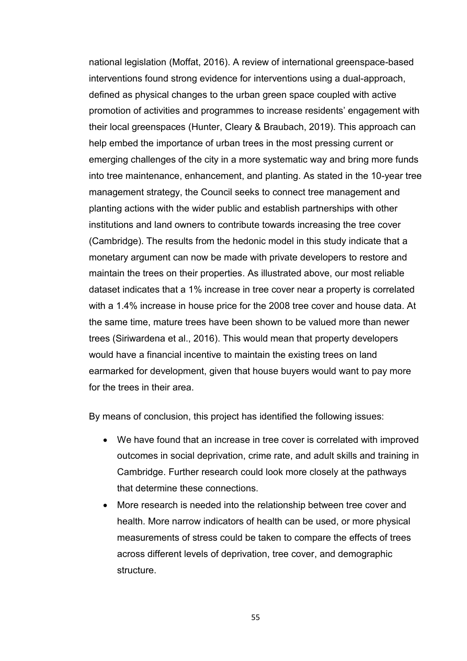national legislation (Moffat, 2016). A review of international greenspace-based interventions found strong evidence for interventions using a dual-approach, defined as physical changes to the urban green space coupled with active promotion of activities and programmes to increase residents' engagement with their local greenspaces (Hunter, Cleary & Braubach, 2019). This approach can help embed the importance of urban trees in the most pressing current or emerging challenges of the city in a more systematic way and bring more funds into tree maintenance, enhancement, and planting. As stated in the 10-year tree management strategy, the Council seeks to connect tree management and planting actions with the wider public and establish partnerships with other institutions and land owners to contribute towards increasing the tree cover (Cambridge). The results from the hedonic model in this study indicate that a monetary argument can now be made with private developers to restore and maintain the trees on their properties. As illustrated above, our most reliable dataset indicates that a 1% increase in tree cover near a property is correlated with a 1.4% increase in house price for the 2008 tree cover and house data. At the same time, mature trees have been shown to be valued more than newer trees (Siriwardena et al., 2016). This would mean that property developers would have a financial incentive to maintain the existing trees on land earmarked for development, given that house buyers would want to pay more for the trees in their area.

By means of conclusion, this project has identified the following issues:

- We have found that an increase in tree cover is correlated with improved outcomes in social deprivation, crime rate, and adult skills and training in Cambridge. Further research could look more closely at the pathways that determine these connections.
- More research is needed into the relationship between tree cover and health. More narrow indicators of health can be used, or more physical measurements of stress could be taken to compare the effects of trees across different levels of deprivation, tree cover, and demographic structure.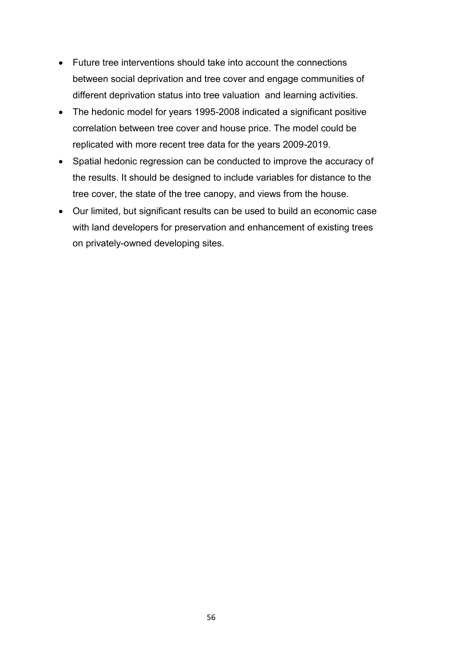- Future tree interventions should take into account the connections between social deprivation and tree cover and engage communities of different deprivation status into tree valuation and learning activities.
- The hedonic model for years 1995-2008 indicated a significant positive correlation between tree cover and house price. The model could be replicated with more recent tree data for the years 2009-2019.
- Spatial hedonic regression can be conducted to improve the accuracy of the results. It should be designed to include variables for distance to the tree cover, the state of the tree canopy, and views from the house.
- Our limited, but significant results can be used to build an economic case with land developers for preservation and enhancement of existing trees on privately-owned developing sites.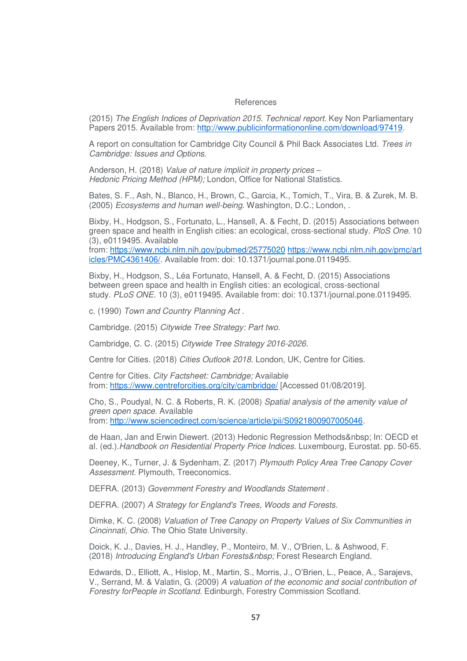#### References

(2015) *The English Indices of Deprivation 2015. Technical report.* Key Non Parliamentary Papers 2015. Available from: http://www.publicinformationonline.com/download/97419.

A report on consultation for Cambridge City Council & Phil Back Associates Ltd. *Trees in Cambridge: Issues and Options.*

Anderson, H. (2018) *Value of nature implicit in property prices – Hedonic Pricing Method (HPM);* London, Office for National Statistics.

Bates, S. F., Ash, N., Blanco, H., Brown, C., Garcia, K., Tomich, T., Vira, B. & Zurek, M. B. (2005) *Ecosystems and human well-being.* Washington, D.C.; London, .

Bixby, H., Hodgson, S., Fortunato, L., Hansell, A. & Fecht, D. (2015) Associations between green space and health in English cities: an ecological, cross-sectional study. *PloS One.* 10 (3), e0119495. Available

from: https://www.ncbi.nlm.nih.gov/pubmed/25775020 https://www.ncbi.nlm.nih.gov/pmc/art icles/PMC4361406/. Available from: doi: 10.1371/journal.pone.0119495.

Bixby, H., Hodgson, S., Léa Fortunato, Hansell, A. & Fecht, D. (2015) Associations between green space and health in English cities: an ecological, cross-sectional study. *PLoS ONE.* 10 (3), e0119495. Available from: doi: 10.1371/journal.pone.0119495.

c. (1990) *Town and Country Planning Act .*

Cambridge. (2015) *Citywide Tree Strategy: Part two.*

Cambridge, C. C. (2015) *Citywide Tree Strategy 2016-2026.*

Centre for Cities. (2018) *Cities Outlook 2018.* London, UK, Centre for Cities.

Centre for Cities. *City Factsheet: Cambridge;* Available from: https://www.centreforcities.org/city/cambridge/ [Accessed 01/08/2019].

Cho, S., Poudyal, N. C. & Roberts, R. K. (2008) *Spatial analysis of the amenity value of green open space.* Available

from: http://www.sciencedirect.com/science/article/pii/S0921800907005046.

de Haan, Jan and Erwin Diewert. (2013) Hedonic Regression Methods In: OECD et al. (ed.).*Handbook on Residential Property Price Indices.* Luxembourg, Eurostat. pp. 50-65.

Deeney, K., Turner, J. & Sydenham, Z. (2017) *Plymouth Policy Area Tree Canopy Cover Assessment.* Plymouth, Treeconomics.

DEFRA. (2013) *Government Forestry and Woodlands Statement* .

DEFRA. (2007) *A Strategy for England's Trees, Woods and Forests.*

Dimke, K. C. (2008) *Valuation of Tree Canopy on Property Values of Six Communities in Cincinnati, Ohio.* The Ohio State University.

Doick, K. J., Davies, H. J., Handley, P., Monteiro, M. V., O'Brien, L. & Ashwood, F. (2018) *Introducing England's Urban Forests&nbsp*; Forest Research England.

Edwards, D., Elliott, A., Hislop, M., Martin, S., Morris, J., O'Brien, L., Peace, A., Sarajevs, V., Serrand, M. & Valatin, G. (2009) *A valuation of the economic and social contribution of Forestry forPeople in Scotland.* Edinburgh, Forestry Commission Scotland.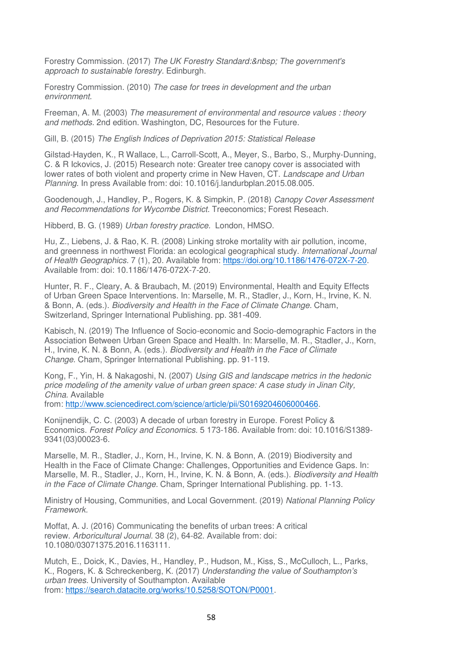Forestry Commission. (2017) *The UK Forestry Standard: The government's approach to sustainable forestry.* Edinburgh.

Forestry Commission. (2010) *The case for trees in development and the urban environment.*

Freeman, A. M. (2003) *The measurement of environmental and resource values : theory and methods.* 2nd edition. Washington, DC, Resources for the Future.

Gill, B. (2015) *The English Indices of Deprivation 2015: Statistical Release*

Gilstad-Hayden, K., R Wallace, L., Carroll-Scott, A., Meyer, S., Barbo, S., Murphy-Dunning, C. & R Ickovics, J. (2015) Research note: Greater tree canopy cover is associated with lower rates of both violent and property crime in New Haven, CT. *Landscape and Urban Planning.* In press Available from: doi: 10.1016/j.landurbplan.2015.08.005.

Goodenough, J., Handley, P., Rogers, K. & Simpkin, P. (2018) *Canopy Cover Assessment and Recommendations for Wycombe District.* Treeconomics; Forest Reseach.

Hibberd, B. G. (1989) *Urban forestry practice.* London, HMSO.

Hu, Z., Liebens, J. & Rao, K. R. (2008) Linking stroke mortality with air pollution, income, and greenness in northwest Florida: an ecological geographical study. *International Journal of Health Geographics.* 7 (1), 20. Available from: https://doi.org/10.1186/1476-072X-7-20. Available from: doi: 10.1186/1476-072X-7-20.

Hunter, R. F., Cleary, A. & Braubach, M. (2019) Environmental, Health and Equity Effects of Urban Green Space Interventions. In: Marselle, M. R., Stadler, J., Korn, H., Irvine, K. N. & Bonn, A. (eds.). *Biodiversity and Health in the Face of Climate Change.* Cham, Switzerland, Springer International Publishing. pp. 381-409.

Kabisch, N. (2019) The Influence of Socio-economic and Socio-demographic Factors in the Association Between Urban Green Space and Health. In: Marselle, M. R., Stadler, J., Korn, H., Irvine, K. N. & Bonn, A. (eds.). *Biodiversity and Health in the Face of Climate Change.* Cham, Springer International Publishing. pp. 91-119.

Kong, F., Yin, H. & Nakagoshi, N. (2007) *Using GIS and landscape metrics in the hedonic price modeling of the amenity value of urban green space: A case study in Jinan City, China.* Available

from: http://www.sciencedirect.com/science/article/pii/S0169204606000466.

Konijnendijk, C. C. (2003) A decade of urban forestry in Europe. Forest Policy & Economics. *Forest Policy and Economics.* 5 173-186. Available from: doi: 10.1016/S1389- 9341(03)00023-6.

Marselle, M. R., Stadler, J., Korn, H., Irvine, K. N. & Bonn, A. (2019) Biodiversity and Health in the Face of Climate Change: Challenges, Opportunities and Evidence Gaps. In: Marselle, M. R., Stadler, J., Korn, H., Irvine, K. N. & Bonn, A. (eds.). *Biodiversity and Health in the Face of Climate Change.* Cham, Springer International Publishing. pp. 1-13.

Ministry of Housing, Communities, and Local Government. (2019) *National Planning Policy Framework.*

Moffat, A. J. (2016) Communicating the benefits of urban trees: A critical review. *Arboricultural Journal.* 38 (2), 64-82. Available from: doi: 10.1080/03071375.2016.1163111.

Mutch, E., Doick, K., Davies, H., Handley, P., Hudson, M., Kiss, S., McCulloch, L., Parks, K., Rogers, K. & Schreckenberg, K. (2017) *Understanding the value of Southampton's urban trees.* University of Southampton. Available from: https://search.datacite.org/works/10.5258/SOTON/P0001.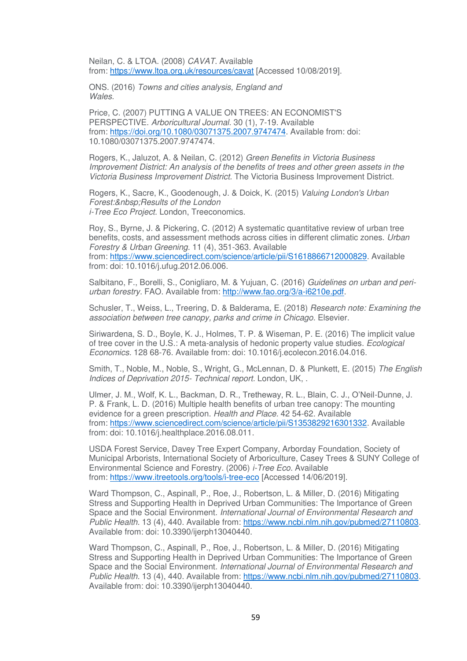Neilan, C. & LTOA. (2008) *CAVAT.* Available from: https://www.ltoa.org.uk/resources/cavat [Accessed 10/08/2019].

ONS. (2016) *Towns and cities analysis, England and Wales.*

Price, C. (2007) PUTTING A VALUE ON TREES: AN ECONOMIST'S PERSPECTIVE. *Arboricultural Journal.* 30 (1), 7-19. Available from: https://doi.org/10.1080/03071375.2007.9747474. Available from: doi: 10.1080/03071375.2007.9747474.

Rogers, K., Jaluzot, A. & Neilan, C. (2012) *Green Benefits in Victoria Business Improvement District: An analysis of the benefits of trees and other green assets in the Victoria Business Improvement District.* The Victoria Business Improvement District.

Rogers, K., Sacre, K., Goodenough, J. & Doick, K. (2015) *Valuing London's Urban Forest: Results of the London i-Tree Eco Project.* London, Treeconomics.

Roy, S., Byrne, J. & Pickering, C. (2012) A systematic quantitative review of urban tree benefits, costs, and assessment methods across cities in different climatic zones. *Urban Forestry & Urban Greening.* 11 (4), 351-363. Available from: https://www.sciencedirect.com/science/article/pii/S1618866712000829. Available from: doi: 10.1016/j.ufug.2012.06.006.

Salbitano, F., Borelli, S., Conigliaro, M. & Yujuan, C. (2016) *Guidelines on urban and periurban forestry.* FAO. Available from: http://www.fao.org/3/a-i6210e.pdf.

Schusler, T., Weiss, L., Treering, D. & Balderama, E. (2018) *Research note: Examining the association between tree canopy, parks and crime in Chicago.* Elsevier.

Siriwardena, S. D., Boyle, K. J., Holmes, T. P. & Wiseman, P. E. (2016) The implicit value of tree cover in the U.S.: A meta-analysis of hedonic property value studies. *Ecological Economics.* 128 68-76. Available from: doi: 10.1016/j.ecolecon.2016.04.016.

Smith, T., Noble, M., Noble, S., Wright, G., McLennan, D. & Plunkett, E. (2015) *The English Indices of Deprivation 2015- Technical report.* London, UK, .

Ulmer, J. M., Wolf, K. L., Backman, D. R., Tretheway, R. L., Blain, C. J., O'Neil-Dunne, J. P. & Frank, L. D. (2016) Multiple health benefits of urban tree canopy: The mounting evidence for a green prescription. *Health and Place.* 42 54-62. Available from: https://www.sciencedirect.com/science/article/pii/S1353829216301332. Available from: doi: 10.1016/j.healthplace.2016.08.011.

USDA Forest Service, Davey Tree Expert Company, Arborday Foundation, Society of Municipal Arborists, International Society of Arboriculture, Casey Trees & SUNY College of Environmental Science and Forestry. (2006) *i-Tree Eco.* Available from: https://www.itreetools.org/tools/i-tree-eco [Accessed 14/06/2019].

Ward Thompson, C., Aspinall, P., Roe, J., Robertson, L. & Miller, D. (2016) Mitigating Stress and Supporting Health in Deprived Urban Communities: The Importance of Green Space and the Social Environment. *International Journal of Environmental Research and Public Health.* 13 (4), 440. Available from: https://www.ncbi.nlm.nih.gov/pubmed/27110803. Available from: doi: 10.3390/ijerph13040440.

Ward Thompson, C., Aspinall, P., Roe, J., Robertson, L. & Miller, D. (2016) Mitigating Stress and Supporting Health in Deprived Urban Communities: The Importance of Green Space and the Social Environment. *International Journal of Environmental Research and Public Health.* 13 (4), 440. Available from: https://www.ncbi.nlm.nih.gov/pubmed/27110803. Available from: doi: 10.3390/ijerph13040440.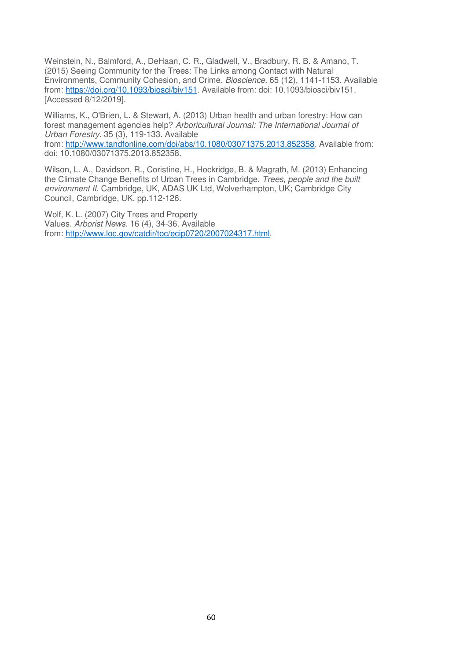Weinstein, N., Balmford, A., DeHaan, C. R., Gladwell, V., Bradbury, R. B. & Amano, T. (2015) Seeing Community for the Trees: The Links among Contact with Natural Environments, Community Cohesion, and Crime. *Bioscience.* 65 (12), 1141-1153. Available from: https://doi.org/10.1093/biosci/biv151. Available from: doi: 10.1093/biosci/biv151. [Accessed 8/12/2019].

Williams, K., O'Brien, L. & Stewart, A. (2013) Urban health and urban forestry: How can forest management agencies help? *Arboricultural Journal: The International Journal of Urban Forestry.* 35 (3), 119-133. Available

from: http://www.tandfonline.com/doi/abs/10.1080/03071375.2013.852358. Available from: doi: 10.1080/03071375.2013.852358.

Wilson, L. A., Davidson, R., Coristine, H., Hockridge, B. & Magrath, M. (2013) Enhancing the Climate Change Benefits of Urban Trees in Cambridge. *Trees, people and the built environment II.* Cambridge, UK, ADAS UK Ltd, Wolverhampton, UK; Cambridge City Council, Cambridge, UK. pp.112-126.

Wolf, K. L. (2007) City Trees and Property Values. *Arborist News.* 16 (4), 34-36. Available from: http://www.loc.gov/catdir/toc/ecip0720/2007024317.html.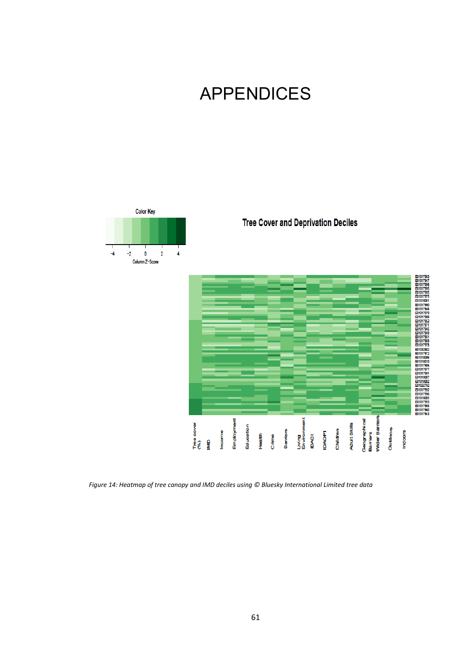# APPENDICES



*Figure 14: Heatmap of tree canopy and IMD deciles using © Bluesky International Limited tree data*